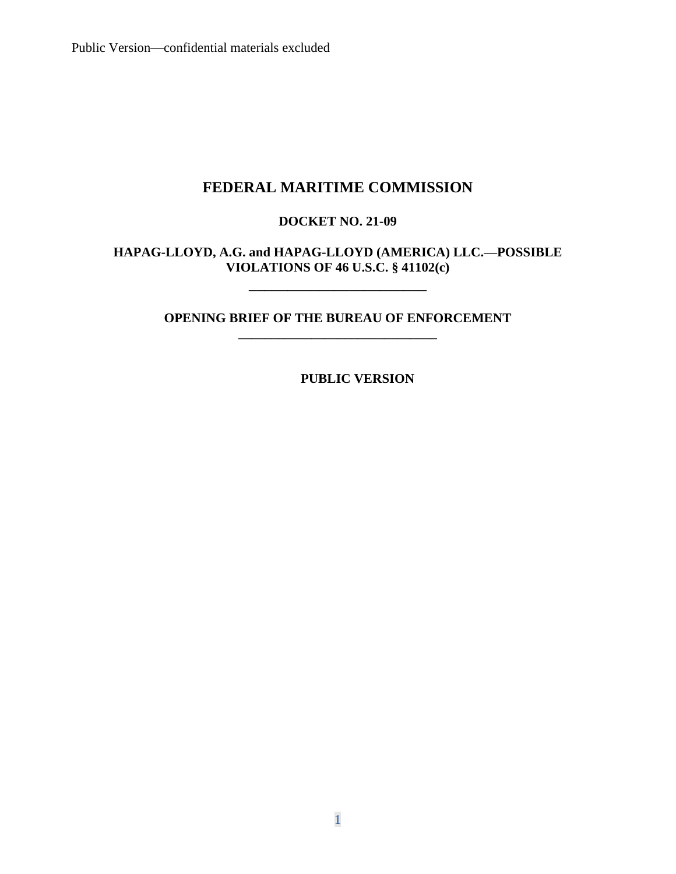# **FEDERAL MARITIME COMMISSION**

# **DOCKET NO. 21-09**

# **HAPAG-LLOYD, A.G. and HAPAG-LLOYD (AMERICA) LLC.—POSSIBLE VIOLATIONS OF 46 U.S.C. § 41102(c)**

\_\_\_\_\_\_\_\_\_\_\_\_\_\_\_\_\_\_\_\_\_\_\_

# **OPENING BRIEF OF THE BUREAU OF ENFORCEMENT \_\_\_\_\_\_\_\_\_\_\_\_\_\_\_\_\_\_\_\_\_\_\_\_\_\_\_\_\_\_**

**PUBLIC VERSION**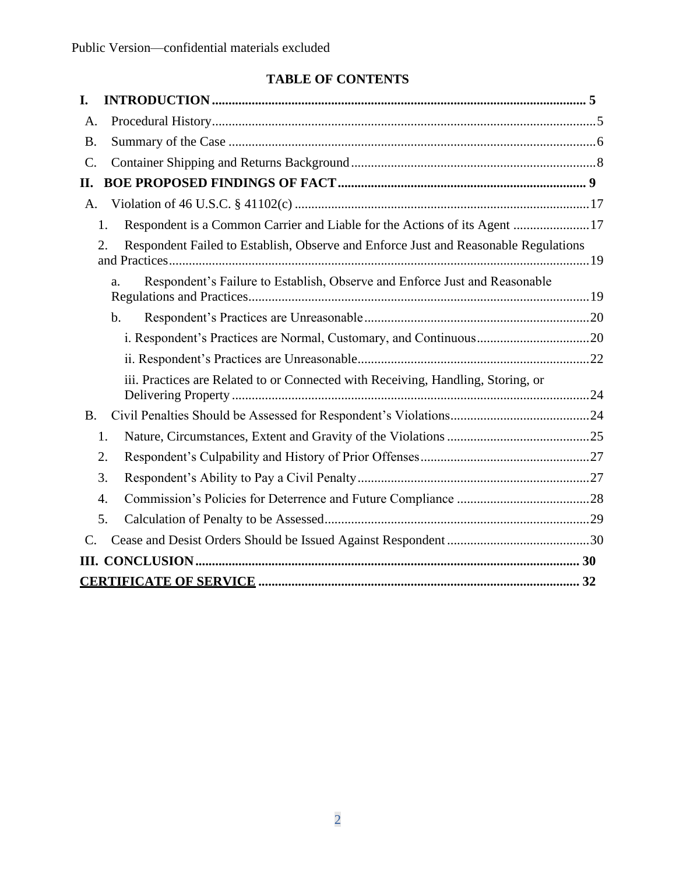# **TABLE OF CONTENTS**

| I.                                                                                        |  |
|-------------------------------------------------------------------------------------------|--|
| A.                                                                                        |  |
| <b>B.</b>                                                                                 |  |
| $\mathcal{C}$ .                                                                           |  |
| П.                                                                                        |  |
| A.                                                                                        |  |
| Respondent is a Common Carrier and Liable for the Actions of its Agent 17<br>1.           |  |
| Respondent Failed to Establish, Observe and Enforce Just and Reasonable Regulations<br>2. |  |
| Respondent's Failure to Establish, Observe and Enforce Just and Reasonable<br>a.          |  |
| $\mathbf b$ .                                                                             |  |
|                                                                                           |  |
|                                                                                           |  |
| iii. Practices are Related to or Connected with Receiving, Handling, Storing, or          |  |
| <b>B.</b>                                                                                 |  |
| 1.                                                                                        |  |
| 2.                                                                                        |  |
| 3.                                                                                        |  |
| $\overline{4}$ .                                                                          |  |
| 5.                                                                                        |  |
| $\mathcal{C}$ .                                                                           |  |
|                                                                                           |  |
|                                                                                           |  |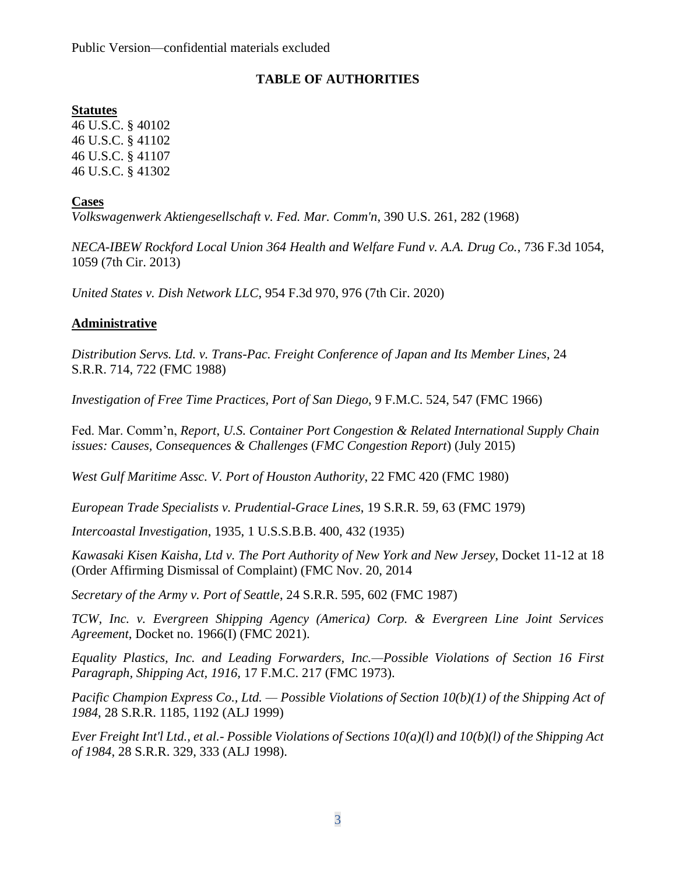# **TABLE OF AUTHORITIES**

# **Statutes**

46 U.S.C. § 40102 46 U.S.C. § 41102 46 U.S.C. § 41107 46 U.S.C. § 41302

# **Cases**

*Volkswagenwerk Aktiengesellschaft v. Fed. Mar. Comm'n*, 390 U.S. 261, 282 (1968)

*NECA-IBEW Rockford Local Union 364 Health and Welfare Fund v. A.A. Drug Co.*, 736 F.3d 1054, 1059 (7th Cir. 2013)

*United States v. Dish Network LLC*, 954 F.3d 970, 976 (7th Cir. 2020)

# **Administrative**

*Distribution Servs. Ltd. v. Trans-Pac. Freight Conference of Japan and Its Member Lines*, 24 S.R.R. 714, 722 (FMC 1988)

*Investigation of Free Time Practices, Port of San Diego*, 9 F.M.C. 524, 547 (FMC 1966)

Fed. Mar. Comm'n, *Report*, *U.S. Container Port Congestion & Related International Supply Chain issues: Causes, Consequences & Challenges* (*FMC Congestion Report*) (July 2015)

*West Gulf Maritime Assc. V. Port of Houston Authority*, 22 FMC 420 (FMC 1980)

*European Trade Specialists v. Prudential-Grace Lines*, 19 S.R.R. 59, 63 (FMC 1979)

*Intercoastal Investigation*, 1935, 1 U.S.S.B.B. 400, 432 (1935)

*Kawasaki Kisen Kaisha, Ltd v. The Port Authority of New York and New Jersey*, Docket 11-12 at 18 (Order Affirming Dismissal of Complaint) (FMC Nov. 20, 2014

*Secretary of the Army v. Port of Seattle*, 24 S.R.R. 595, 602 (FMC 1987)

*TCW, Inc. v. Evergreen Shipping Agency (America) Corp. & Evergreen Line Joint Services Agreement*, Docket no. 1966(I) (FMC 2021).

*Equality Plastics, Inc. and Leading Forwarders, Inc.—Possible Violations of Section 16 First Paragraph, Shipping Act, 1916,* 17 F.M.C. 217 (FMC 1973).

*Pacific Champion Express Co., Ltd. — Possible Violations of Section 10(b)(1) of the Shipping Act of 1984*, 28 S.R.R. 1185, 1192 (ALJ 1999)

*Ever Freight Int'l Ltd., et al.- Possible Violations of Sections 10(a)(l) and 10(b)(l) of the Shipping Act of 1984*, 28 S.R.R. 329, 333 (ALJ 1998).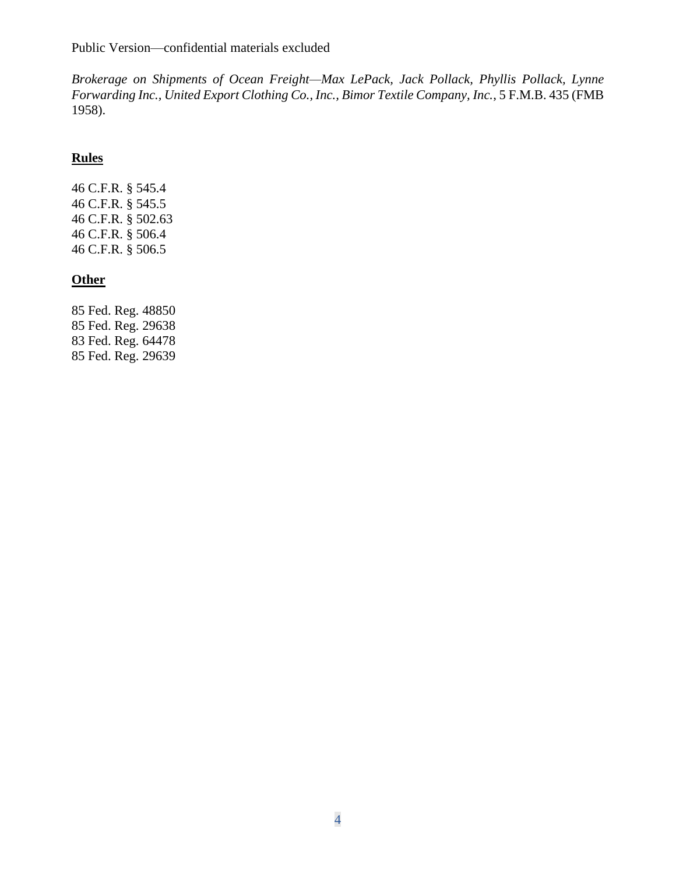*Brokerage on Shipments of Ocean Freight—Max LePack, Jack Pollack, Phyllis Pollack, Lynne Forwarding Inc., United Export Clothing Co., Inc., Bimor Textile Company, Inc.*, 5 F.M.B. 435 (FMB 1958).

# **Rules**

46 C.F.R. § 545.4 46 C.F.R. § 545.5 46 C.F.R. § 502.63 46 C.F.R. § 506.4 46 C.F.R. § 506.5

# **Other**

85 Fed. Reg. 48850 85 Fed. Reg. 29638 83 Fed. Reg. 64478 85 Fed. Reg. 29639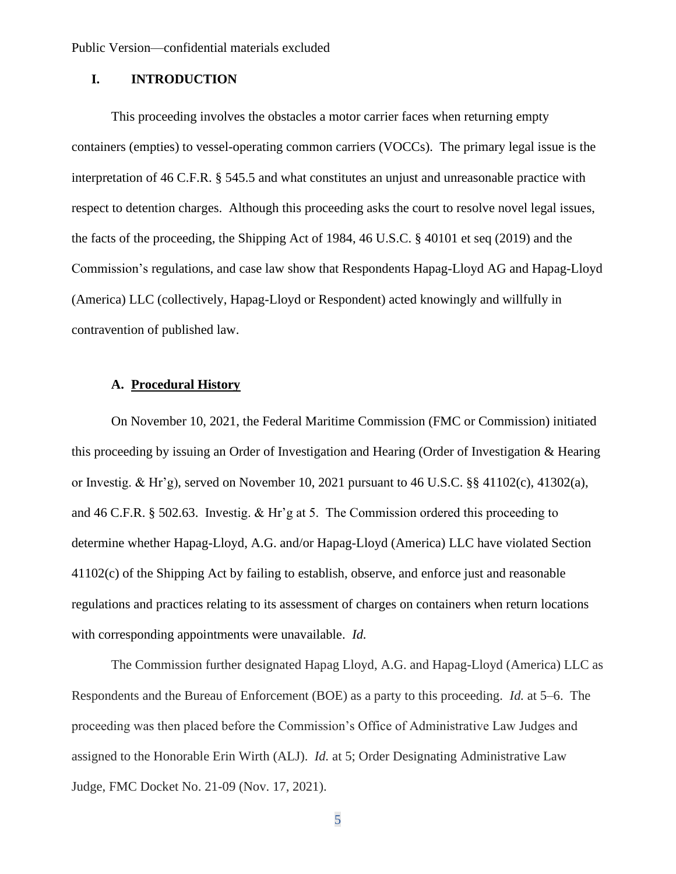# **I. INTRODUCTION**

This proceeding involves the obstacles a motor carrier faces when returning empty containers (empties) to vessel-operating common carriers (VOCCs). The primary legal issue is the interpretation of 46 C.F.R. § 545.5 and what constitutes an unjust and unreasonable practice with respect to detention charges. Although this proceeding asks the court to resolve novel legal issues, the facts of the proceeding, the Shipping Act of 1984, 46 U.S.C. § 40101 et seq (2019) and the Commission's regulations, and case law show that Respondents Hapag-Lloyd AG and Hapag-Lloyd (America) LLC (collectively, Hapag-Lloyd or Respondent) acted knowingly and willfully in contravention of published law.

# **A. Procedural History**

On November 10, 2021, the Federal Maritime Commission (FMC or Commission) initiated this proceeding by issuing an Order of Investigation and Hearing (Order of Investigation & Hearing or Investig. & Hr'g), served on November 10, 2021 pursuant to 46 U.S.C.  $\S$ § 41102(c), 41302(a), and 46 C.F.R. § 502.63. Investig. & Hr'g at 5. The Commission ordered this proceeding to determine whether Hapag-Lloyd, A.G. and/or Hapag-Lloyd (America) LLC have violated Section 41102(c) of the Shipping Act by failing to establish, observe, and enforce just and reasonable regulations and practices relating to its assessment of charges on containers when return locations with corresponding appointments were unavailable. *Id.*

The Commission further designated Hapag Lloyd, A.G. and Hapag-Lloyd (America) LLC as Respondents and the Bureau of Enforcement (BOE) as a party to this proceeding. *Id.* at 5–6. The proceeding was then placed before the Commission's Office of Administrative Law Judges and assigned to the Honorable Erin Wirth (ALJ). *Id.* at 5; Order Designating Administrative Law Judge, FMC Docket No. 21-09 (Nov. 17, 2021).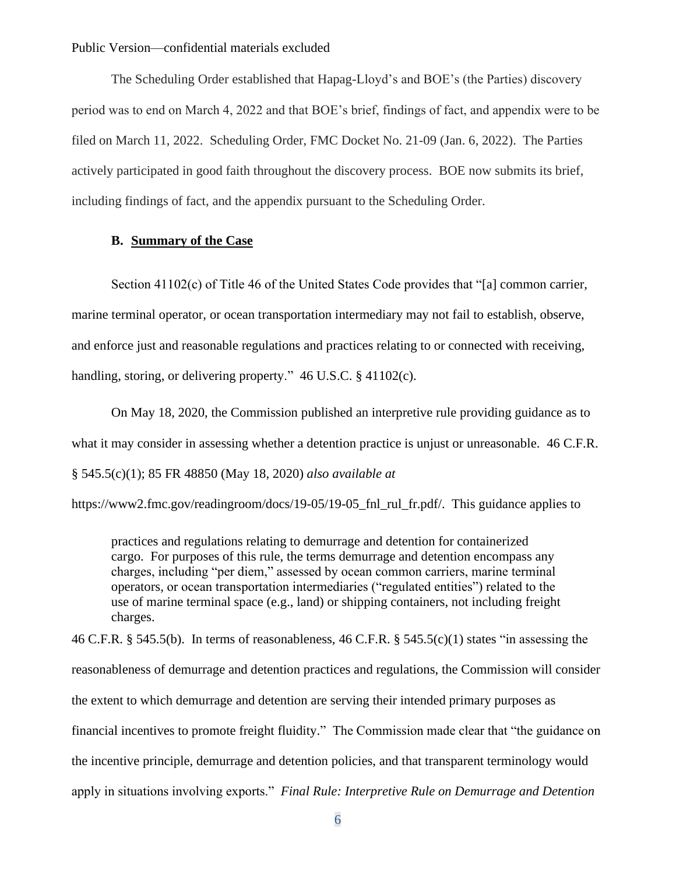The Scheduling Order established that Hapag-Lloyd's and BOE's (the Parties) discovery period was to end on March 4, 2022 and that BOE's brief, findings of fact, and appendix were to be filed on March 11, 2022. Scheduling Order, FMC Docket No. 21-09 (Jan. 6, 2022). The Parties actively participated in good faith throughout the discovery process. BOE now submits its brief, including findings of fact, and the appendix pursuant to the Scheduling Order.

# **B. Summary of the Case**

Section 41102(c) of Title 46 of the United States Code provides that "[a] common carrier, marine terminal operator, or ocean transportation intermediary may not fail to establish, observe, and enforce just and reasonable regulations and practices relating to or connected with receiving, handling, storing, or delivering property." 46 U.S.C. § 41102(c).

On May 18, 2020, the Commission published an interpretive rule providing guidance as to what it may consider in assessing whether a detention practice is unjust or unreasonable. 46 C.F.R. § 545.5(c)(1); 85 FR 48850 (May 18, 2020) *also available at* 

https://www2.fmc.gov/readingroom/docs/19-05/19-05\_fnl\_rul\_fr.pdf/. This guidance applies to

practices and regulations relating to demurrage and detention for containerized cargo. For purposes of this rule, the terms demurrage and detention encompass any charges, including "per diem," assessed by ocean common carriers, marine terminal operators, or ocean transportation intermediaries ("regulated entities") related to the use of marine terminal space (e.g., land) or shipping containers, not including freight charges.

46 C.F.R. § 545.5(b). In terms of reasonableness, 46 C.F.R. § 545.5(c)(1) states "in assessing the reasonableness of demurrage and detention practices and regulations, the Commission will consider the extent to which demurrage and detention are serving their intended primary purposes as financial incentives to promote freight fluidity." The Commission made clear that "the guidance on the incentive principle, demurrage and detention policies, and that transparent terminology would apply in situations involving exports." *Final Rule: Interpretive Rule on Demurrage and Detention*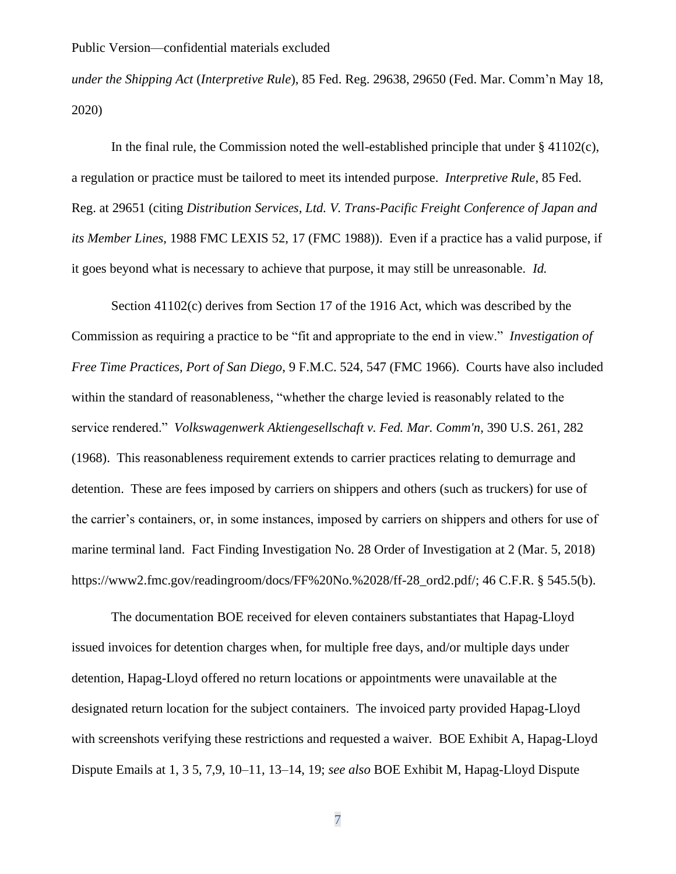*under the Shipping Act* (*Interpretive Rule*), 85 Fed. Reg. 29638, 29650 (Fed. Mar. Comm'n May 18, 2020)

In the final rule, the Commission noted the well-established principle that under  $\S$  41102(c), a regulation or practice must be tailored to meet its intended purpose. *Interpretive Rule*, 85 Fed. Reg. at 29651 (citing *Distribution Services, Ltd. V. Trans-Pacific Freight Conference of Japan and its Member Lines*, 1988 FMC LEXIS 52, 17 (FMC 1988)). Even if a practice has a valid purpose, if it goes beyond what is necessary to achieve that purpose, it may still be unreasonable. *Id.*

Section 41102(c) derives from Section 17 of the 1916 Act, which was described by the Commission as requiring a practice to be "fit and appropriate to the end in view." *Investigation of Free Time Practices, Port of San Diego*, 9 F.M.C. 524, 547 (FMC 1966). Courts have also included within the standard of reasonableness, "whether the charge levied is reasonably related to the service rendered." *Volkswagenwerk Aktiengesellschaft v. Fed. Mar. Comm'n*, 390 U.S. 261, 282 (1968). This reasonableness requirement extends to carrier practices relating to demurrage and detention. These are fees imposed by carriers on shippers and others (such as truckers) for use of the carrier's containers, or, in some instances, imposed by carriers on shippers and others for use of marine terminal land. Fact Finding Investigation No. 28 Order of Investigation at 2 (Mar. 5, 2018) https://www2.fmc.gov/readingroom/docs/FF%20No.%2028/ff-28\_ord2.pdf/; 46 C.F.R. § 545.5(b).

The documentation BOE received for eleven containers substantiates that Hapag-Lloyd issued invoices for detention charges when, for multiple free days, and/or multiple days under detention, Hapag-Lloyd offered no return locations or appointments were unavailable at the designated return location for the subject containers. The invoiced party provided Hapag-Lloyd with screenshots verifying these restrictions and requested a waiver. BOE Exhibit A, Hapag-Lloyd Dispute Emails at 1, 3 5, 7,9, 10–11, 13–14, 19; *see also* BOE Exhibit M, Hapag-Lloyd Dispute

7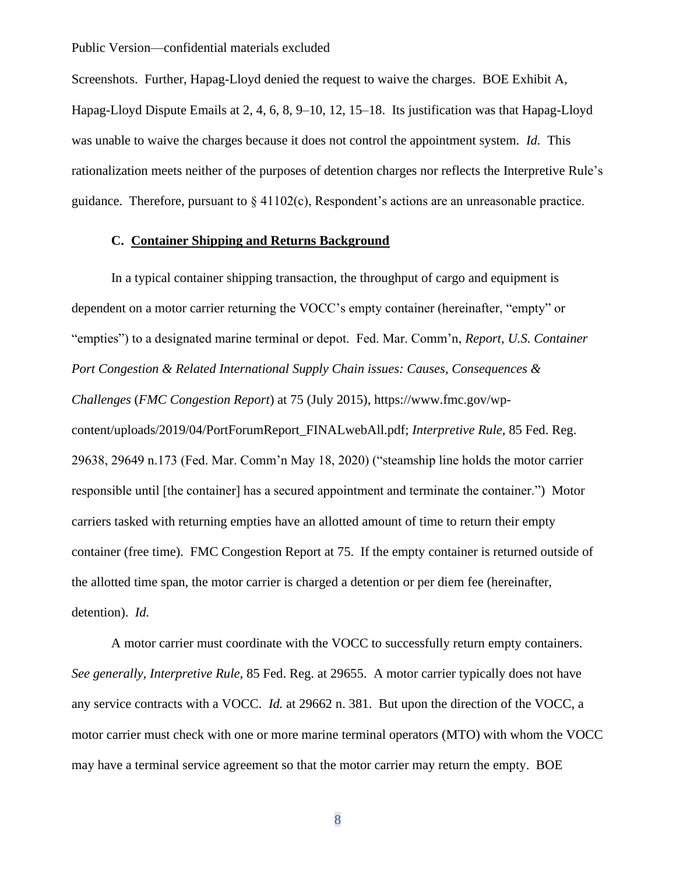Screenshots. Further, Hapag-Lloyd denied the request to waive the charges. BOE Exhibit A, Hapag-Lloyd Dispute Emails at 2, 4, 6, 8, 9–10, 12, 15–18. Its justification was that Hapag-Lloyd was unable to waive the charges because it does not control the appointment system. *Id.* This rationalization meets neither of the purposes of detention charges nor reflects the Interpretive Rule's guidance. Therefore, pursuant to  $\S$  41102(c), Respondent's actions are an unreasonable practice.

## **C. Container Shipping and Returns Background**

In a typical container shipping transaction, the throughput of cargo and equipment is dependent on a motor carrier returning the VOCC's empty container (hereinafter, "empty" or "empties") to a designated marine terminal or depot. Fed. Mar. Comm'n, *Report*, *U.S. Container Port Congestion & Related International Supply Chain issues: Causes, Consequences & Challenges* (*FMC Congestion Report*) at 75 (July 2015), https://www.fmc.gov/wpcontent/uploads/2019/04/PortForumReport\_FINALwebAll.pdf; *Interpretive Rule*, 85 Fed. Reg. 29638, 29649 n.173 (Fed. Mar. Comm'n May 18, 2020) ("steamship line holds the motor carrier responsible until [the container] has a secured appointment and terminate the container.") Motor carriers tasked with returning empties have an allotted amount of time to return their empty container (free time). FMC Congestion Report at 75. If the empty container is returned outside of the allotted time span, the motor carrier is charged a detention or per diem fee (hereinafter, detention). *Id.*

A motor carrier must coordinate with the VOCC to successfully return empty containers. *See generally, Interpretive Rule*, 85 Fed. Reg. at 29655. A motor carrier typically does not have any service contracts with a VOCC. *Id.* at 29662 n. 381. But upon the direction of the VOCC, a motor carrier must check with one or more marine terminal operators (MTO) with whom the VOCC may have a terminal service agreement so that the motor carrier may return the empty. BOE

8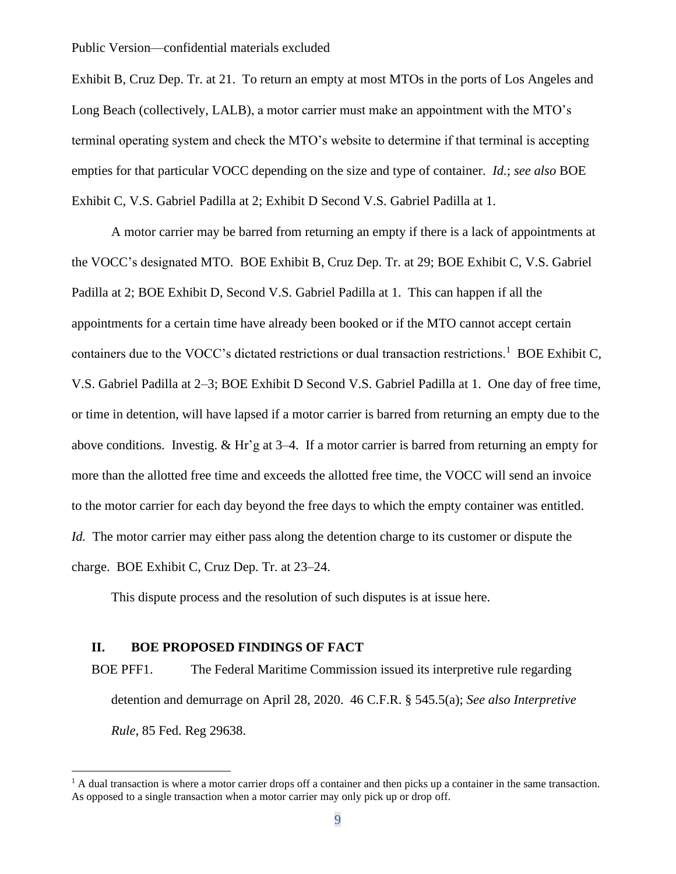Exhibit B, Cruz Dep. Tr. at 21. To return an empty at most MTOs in the ports of Los Angeles and Long Beach (collectively, LALB), a motor carrier must make an appointment with the MTO's terminal operating system and check the MTO's website to determine if that terminal is accepting empties for that particular VOCC depending on the size and type of container. *Id.*; *see also* BOE Exhibit C, V.S. Gabriel Padilla at 2; Exhibit D Second V.S. Gabriel Padilla at 1.

A motor carrier may be barred from returning an empty if there is a lack of appointments at the VOCC's designated MTO. BOE Exhibit B, Cruz Dep. Tr. at 29; BOE Exhibit C, V.S. Gabriel Padilla at 2; BOE Exhibit D, Second V.S. Gabriel Padilla at 1. This can happen if all the appointments for a certain time have already been booked or if the MTO cannot accept certain containers due to the VOCC's dictated restrictions or dual transaction restrictions.<sup>1</sup> BOE Exhibit C, V.S. Gabriel Padilla at 2–3; BOE Exhibit D Second V.S. Gabriel Padilla at 1. One day of free time, or time in detention, will have lapsed if a motor carrier is barred from returning an empty due to the above conditions. Investig. & Hr'g at 3–4. If a motor carrier is barred from returning an empty for more than the allotted free time and exceeds the allotted free time, the VOCC will send an invoice to the motor carrier for each day beyond the free days to which the empty container was entitled. *Id.* The motor carrier may either pass along the detention charge to its customer or dispute the charge. BOE Exhibit C, Cruz Dep. Tr. at 23–24.

This dispute process and the resolution of such disputes is at issue here.

#### **II. BOE PROPOSED FINDINGS OF FACT**

BOE PFF1. The Federal Maritime Commission issued its interpretive rule regarding detention and demurrage on April 28, 2020. 46 C.F.R. § 545.5(a); *See also Interpretive Rule*, 85 Fed. Reg 29638.

 $<sup>1</sup>$  A dual transaction is where a motor carrier drops off a container and then picks up a container in the same transaction.</sup> As opposed to a single transaction when a motor carrier may only pick up or drop off.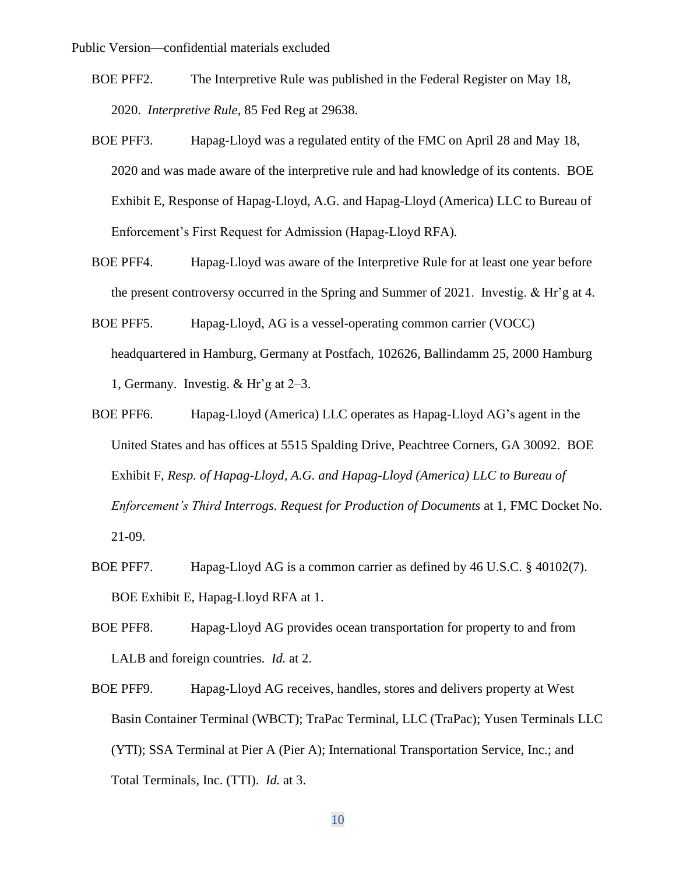- BOE PFF2. The Interpretive Rule was published in the Federal Register on May 18, 2020. *Interpretive Rule*, 85 Fed Reg at 29638.
- BOE PFF3. Hapag-Lloyd was a regulated entity of the FMC on April 28 and May 18, 2020 and was made aware of the interpretive rule and had knowledge of its contents. BOE Exhibit E, Response of Hapag-Lloyd, A.G. and Hapag-Lloyd (America) LLC to Bureau of Enforcement's First Request for Admission (Hapag-Lloyd RFA).
- BOE PFF4. Hapag-Lloyd was aware of the Interpretive Rule for at least one year before the present controversy occurred in the Spring and Summer of 2021. Investig. & Hr'g at 4.
- BOE PFF5. Hapag-Lloyd, AG is a vessel-operating common carrier (VOCC) headquartered in Hamburg, Germany at Postfach, 102626, Ballindamm 25, 2000 Hamburg 1, Germany. Investig. & Hr'g at 2–3.
- BOE PFF6. Hapag-Lloyd (America) LLC operates as Hapag-Lloyd AG's agent in the United States and has offices at 5515 Spalding Drive, Peachtree Corners, GA 30092. BOE Exhibit F, *Resp. of Hapag-Lloyd, A.G. and Hapag-Lloyd (America) LLC to Bureau of Enforcement's Third Interrogs. Request for Production of Documents* at 1, FMC Docket No. 21-09.
- BOE PFF7. Hapag-Lloyd AG is a common carrier as defined by 46 U.S.C. § 40102(7). BOE Exhibit E, Hapag-Lloyd RFA at 1.
- BOE PFF8. Hapag-Lloyd AG provides ocean transportation for property to and from LALB and foreign countries. *Id.* at 2.
- BOE PFF9. Hapag-Lloyd AG receives, handles, stores and delivers property at West Basin Container Terminal (WBCT); TraPac Terminal, LLC (TraPac); Yusen Terminals LLC (YTI); SSA Terminal at Pier A (Pier A); International Transportation Service, Inc.; and Total Terminals, Inc. (TTI). *Id.* at 3.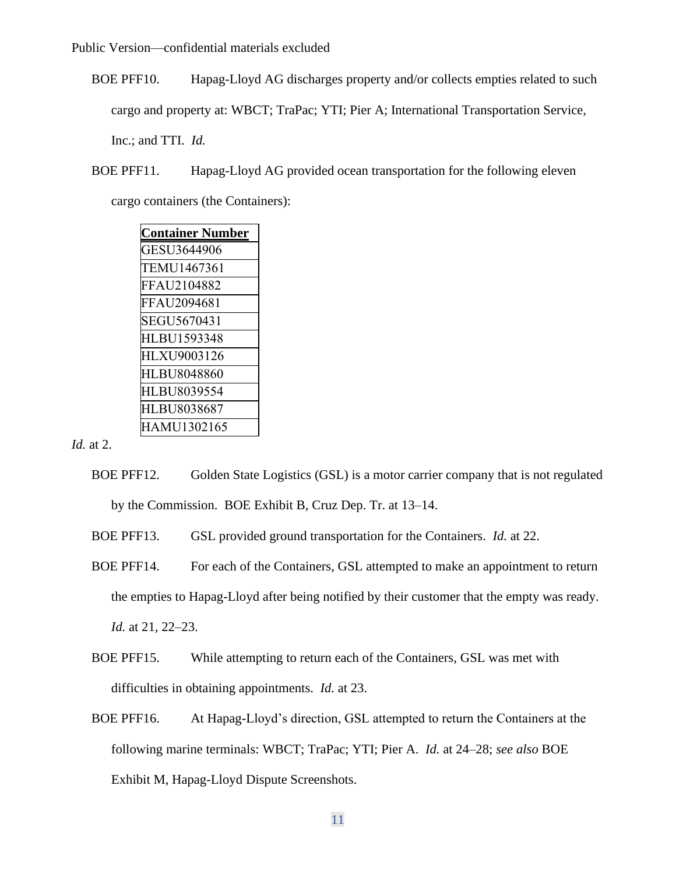BOE PFF10. Hapag-Lloyd AG discharges property and/or collects empties related to such cargo and property at: WBCT; TraPac; YTI; Pier A; International Transportation Service, Inc.; and TTI. *Id.* 

BOE PFF11. Hapag-Lloyd AG provided ocean transportation for the following eleven

cargo containers (the Containers):

| <b>Container Number</b> |
|-------------------------|
| GESU3644906             |
| TEMU1467361             |
| FFAU2104882             |
| FFAU2094681             |
| SEGU5670431             |
| HLBU1593348             |
| HLXU9003126             |
| HLBU8048860             |
| HLBU8039554             |
| HLBU8038687             |
| HAMU1302165             |

*Id.* at 2.

- BOE PFF12. Golden State Logistics (GSL) is a motor carrier company that is not regulated by the Commission. BOE Exhibit B, Cruz Dep. Tr. at 13–14.
- BOE PFF13. GSL provided ground transportation for the Containers. *Id.* at 22.
- BOE PFF14. For each of the Containers, GSL attempted to make an appointment to return the empties to Hapag-Lloyd after being notified by their customer that the empty was ready. *Id.* at 21, 22–23.
- BOE PFF15. While attempting to return each of the Containers, GSL was met with difficulties in obtaining appointments. *Id.* at 23.
- BOE PFF16. At Hapag-Lloyd's direction, GSL attempted to return the Containers at the following marine terminals: WBCT; TraPac; YTI; Pier A. *Id.* at 24–28; *see also* BOE Exhibit M, Hapag-Lloyd Dispute Screenshots.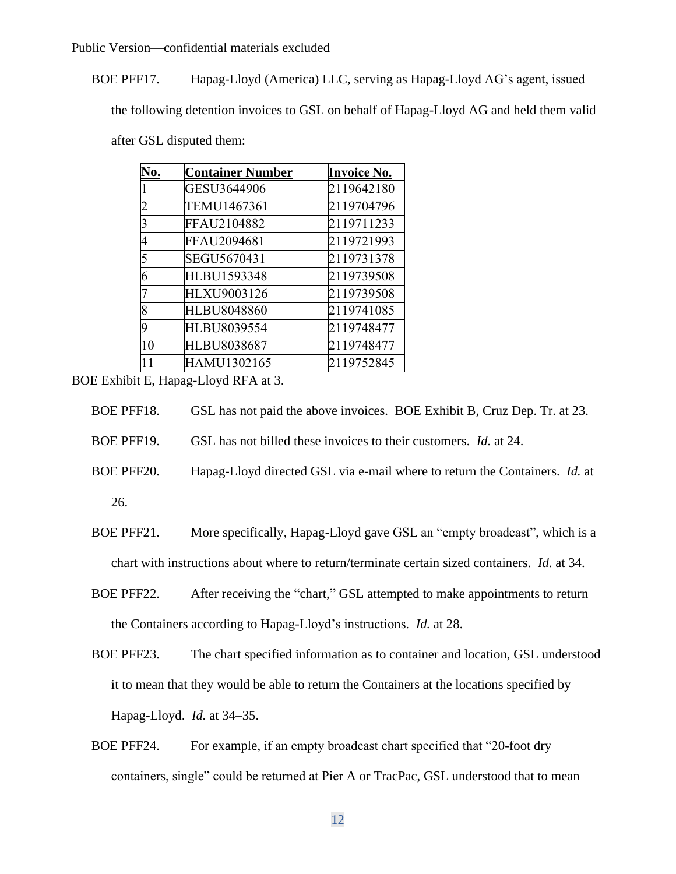BOE PFF17. Hapag-Lloyd (America) LLC, serving as Hapag-Lloyd AG's agent, issued

the following detention invoices to GSL on behalf of Hapag-Lloyd AG and held them valid

after GSL disputed them:

| No. | <b>Container Number</b> | <b>Invoice No.</b> |
|-----|-------------------------|--------------------|
|     | GESU3644906             | 2119642180         |
|     | TEMU1467361             | 2119704796         |
| 3   | FFAU2104882             | 2119711233         |
|     | FFAU2094681             | 2119721993         |
| 5   | SEGU5670431             | 2119731378         |
|     | <b>HLBU1593348</b>      | 2119739508         |
|     | HLXU9003126             | 2119739508         |
| 8   | HLBU8048860             | 2119741085         |
| q   | HLBU8039554             | 2119748477         |
| 10  | HLBU8038687             | 2119748477         |
| 11  | HAMU1302165             | 2119752845         |

BOE Exhibit E, Hapag-Lloyd RFA at 3.

| BOE PFF18. | GSL has not paid the above invoices. BOE Exhibit B, Cruz Dep. Tr. at 23. |  |
|------------|--------------------------------------------------------------------------|--|
|------------|--------------------------------------------------------------------------|--|

BOE PFF19. GSL has not billed these invoices to their customers. *Id.* at 24.

- BOE PFF20. Hapag-Lloyd directed GSL via e-mail where to return the Containers. *Id.* at 26.
- BOE PFF21. More specifically, Hapag-Lloyd gave GSL an "empty broadcast", which is a chart with instructions about where to return/terminate certain sized containers. *Id.* at 34.
- BOE PFF22. After receiving the "chart," GSL attempted to make appointments to return the Containers according to Hapag-Lloyd's instructions. *Id.* at 28.
- BOE PFF23. The chart specified information as to container and location, GSL understood it to mean that they would be able to return the Containers at the locations specified by Hapag-Lloyd. *Id.* at 34–35.
- BOE PFF24. For example, if an empty broadcast chart specified that "20-foot dry containers, single" could be returned at Pier A or TracPac, GSL understood that to mean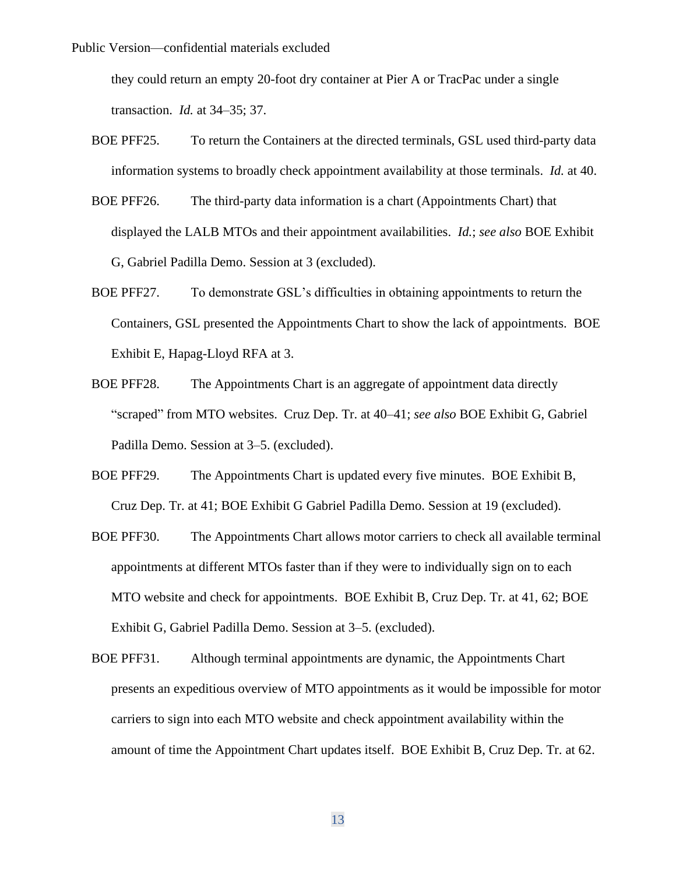they could return an empty 20-foot dry container at Pier A or TracPac under a single transaction. *Id.* at 34–35; 37.

- BOE PFF25. To return the Containers at the directed terminals, GSL used third-party data information systems to broadly check appointment availability at those terminals. *Id.* at 40.
- BOE PFF26. The third-party data information is a chart (Appointments Chart) that displayed the LALB MTOs and their appointment availabilities. *Id.*; *see also* BOE Exhibit G, Gabriel Padilla Demo. Session at 3 (excluded).
- BOE PFF27. To demonstrate GSL's difficulties in obtaining appointments to return the Containers, GSL presented the Appointments Chart to show the lack of appointments. BOE Exhibit E, Hapag-Lloyd RFA at 3.
- BOE PFF28. The Appointments Chart is an aggregate of appointment data directly "scraped" from MTO websites. Cruz Dep. Tr. at 40–41; *see also* BOE Exhibit G, Gabriel Padilla Demo. Session at 3–5. (excluded).
- BOE PFF29. The Appointments Chart is updated every five minutes. BOE Exhibit B, Cruz Dep. Tr. at 41; BOE Exhibit G Gabriel Padilla Demo. Session at 19 (excluded).
- BOE PFF30. The Appointments Chart allows motor carriers to check all available terminal appointments at different MTOs faster than if they were to individually sign on to each MTO website and check for appointments. BOE Exhibit B, Cruz Dep. Tr. at 41, 62; BOE Exhibit G, Gabriel Padilla Demo. Session at 3–5. (excluded).
- BOE PFF31. Although terminal appointments are dynamic, the Appointments Chart presents an expeditious overview of MTO appointments as it would be impossible for motor carriers to sign into each MTO website and check appointment availability within the amount of time the Appointment Chart updates itself. BOE Exhibit B, Cruz Dep. Tr. at 62.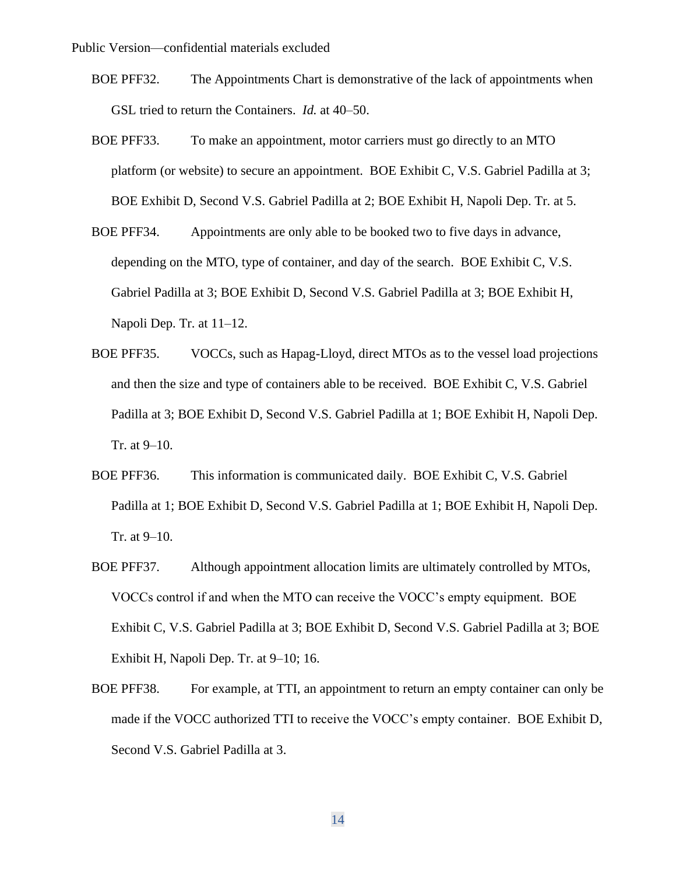- BOE PFF32. The Appointments Chart is demonstrative of the lack of appointments when GSL tried to return the Containers. *Id.* at 40–50.
- BOE PFF33. To make an appointment, motor carriers must go directly to an MTO platform (or website) to secure an appointment. BOE Exhibit C, V.S. Gabriel Padilla at 3; BOE Exhibit D, Second V.S. Gabriel Padilla at 2; BOE Exhibit H, Napoli Dep. Tr. at 5.
- BOE PFF34. Appointments are only able to be booked two to five days in advance, depending on the MTO, type of container, and day of the search. BOE Exhibit C, V.S. Gabriel Padilla at 3; BOE Exhibit D, Second V.S. Gabriel Padilla at 3; BOE Exhibit H, Napoli Dep. Tr. at 11–12.
- BOE PFF35. VOCCs, such as Hapag-Lloyd, direct MTOs as to the vessel load projections and then the size and type of containers able to be received. BOE Exhibit C, V.S. Gabriel Padilla at 3; BOE Exhibit D, Second V.S. Gabriel Padilla at 1; BOE Exhibit H, Napoli Dep. Tr. at 9–10.
- BOE PFF36. This information is communicated daily. BOE Exhibit C, V.S. Gabriel Padilla at 1; BOE Exhibit D, Second V.S. Gabriel Padilla at 1; BOE Exhibit H, Napoli Dep. Tr. at 9–10.
- BOE PFF37. Although appointment allocation limits are ultimately controlled by MTOs, VOCCs control if and when the MTO can receive the VOCC's empty equipment. BOE Exhibit C, V.S. Gabriel Padilla at 3; BOE Exhibit D, Second V.S. Gabriel Padilla at 3; BOE Exhibit H, Napoli Dep. Tr. at 9–10; 16.
- BOE PFF38. For example, at TTI, an appointment to return an empty container can only be made if the VOCC authorized TTI to receive the VOCC's empty container. BOE Exhibit D, Second V.S. Gabriel Padilla at 3.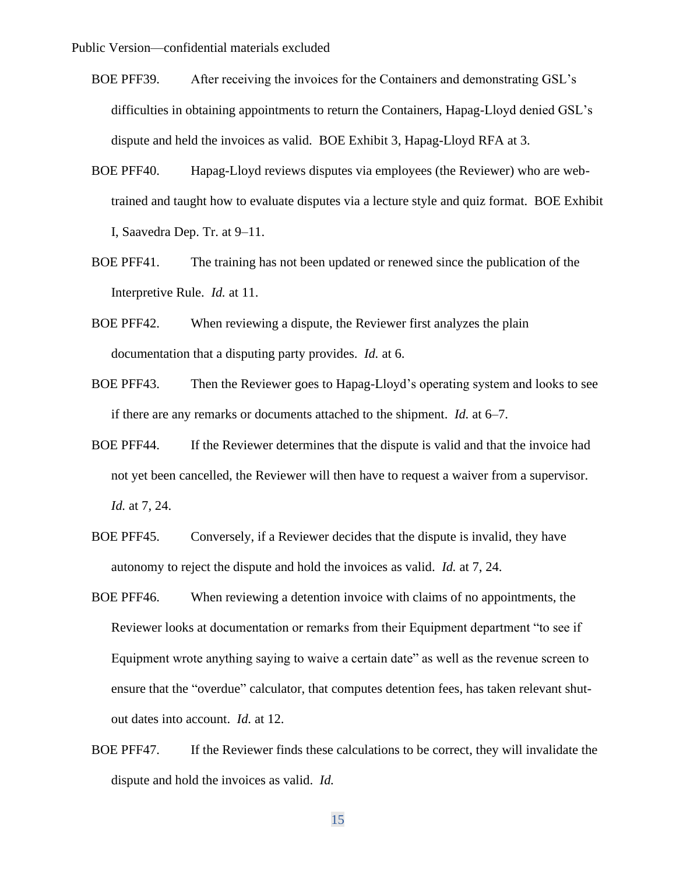- BOE PFF39. After receiving the invoices for the Containers and demonstrating GSL's difficulties in obtaining appointments to return the Containers, Hapag-Lloyd denied GSL's dispute and held the invoices as valid. BOE Exhibit 3, Hapag-Lloyd RFA at 3.
- BOE PFF40. Hapag-Lloyd reviews disputes via employees (the Reviewer) who are webtrained and taught how to evaluate disputes via a lecture style and quiz format. BOE Exhibit I, Saavedra Dep. Tr. at 9–11.
- BOE PFF41. The training has not been updated or renewed since the publication of the Interpretive Rule. *Id.* at 11.
- BOE PFF42. When reviewing a dispute, the Reviewer first analyzes the plain documentation that a disputing party provides. *Id.* at 6.
- BOE PFF43. Then the Reviewer goes to Hapag-Lloyd's operating system and looks to see if there are any remarks or documents attached to the shipment. *Id.* at 6–7.
- BOE PFF44. If the Reviewer determines that the dispute is valid and that the invoice had not yet been cancelled, the Reviewer will then have to request a waiver from a supervisor. *Id.* at 7, 24.
- BOE PFF45. Conversely, if a Reviewer decides that the dispute is invalid, they have autonomy to reject the dispute and hold the invoices as valid. *Id.* at 7, 24.
- BOE PFF46. When reviewing a detention invoice with claims of no appointments, the Reviewer looks at documentation or remarks from their Equipment department "to see if Equipment wrote anything saying to waive a certain date" as well as the revenue screen to ensure that the "overdue" calculator, that computes detention fees, has taken relevant shutout dates into account. *Id.* at 12.
- BOE PFF47. If the Reviewer finds these calculations to be correct, they will invalidate the dispute and hold the invoices as valid. *Id.*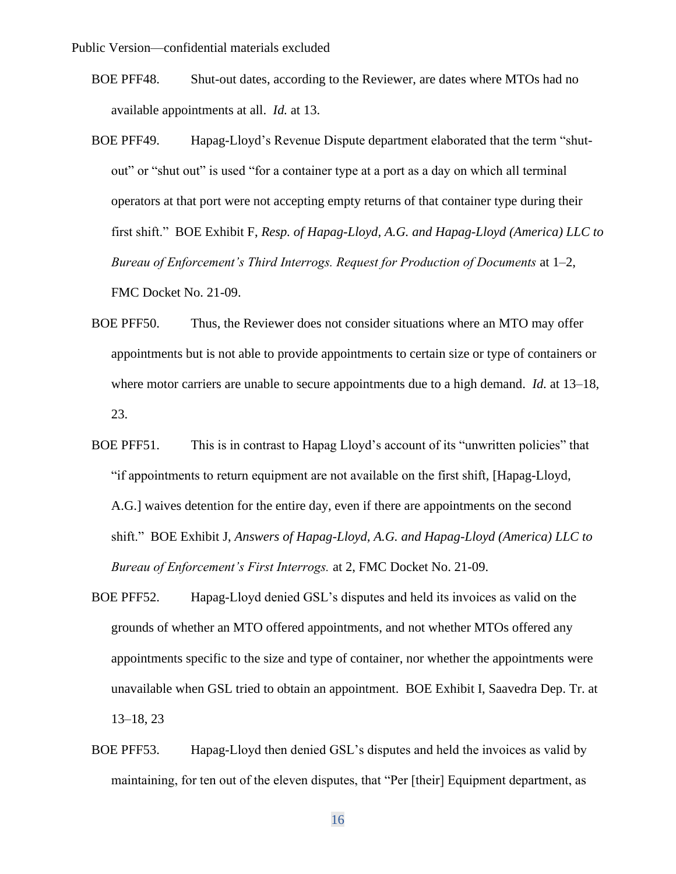- BOE PFF48. Shut-out dates, according to the Reviewer, are dates where MTOs had no available appointments at all. *Id.* at 13.
- BOE PFF49. Hapag-Lloyd's Revenue Dispute department elaborated that the term "shutout" or "shut out" is used "for a container type at a port as a day on which all terminal operators at that port were not accepting empty returns of that container type during their first shift." BOE Exhibit F, *Resp. of Hapag-Lloyd, A.G. and Hapag-Lloyd (America) LLC to Bureau of Enforcement's Third Interrogs. Request for Production of Documents* at 1–2, FMC Docket No. 21-09.
- BOE PFF50. Thus, the Reviewer does not consider situations where an MTO may offer appointments but is not able to provide appointments to certain size or type of containers or where motor carriers are unable to secure appointments due to a high demand. *Id.* at 13–18, 23.
- BOE PFF51. This is in contrast to Hapag Lloyd's account of its "unwritten policies" that "if appointments to return equipment are not available on the first shift, [Hapag-Lloyd, A.G.] waives detention for the entire day, even if there are appointments on the second shift." BOE Exhibit J, *Answers of Hapag-Lloyd, A.G. and Hapag-Lloyd (America) LLC to Bureau of Enforcement's First Interrogs.* at 2, FMC Docket No. 21-09.
- BOE PFF52. Hapag-Lloyd denied GSL's disputes and held its invoices as valid on the grounds of whether an MTO offered appointments, and not whether MTOs offered any appointments specific to the size and type of container, nor whether the appointments were unavailable when GSL tried to obtain an appointment. BOE Exhibit I, Saavedra Dep. Tr. at 13–18, 23
- BOE PFF53. Hapag-Lloyd then denied GSL's disputes and held the invoices as valid by maintaining, for ten out of the eleven disputes, that "Per [their] Equipment department, as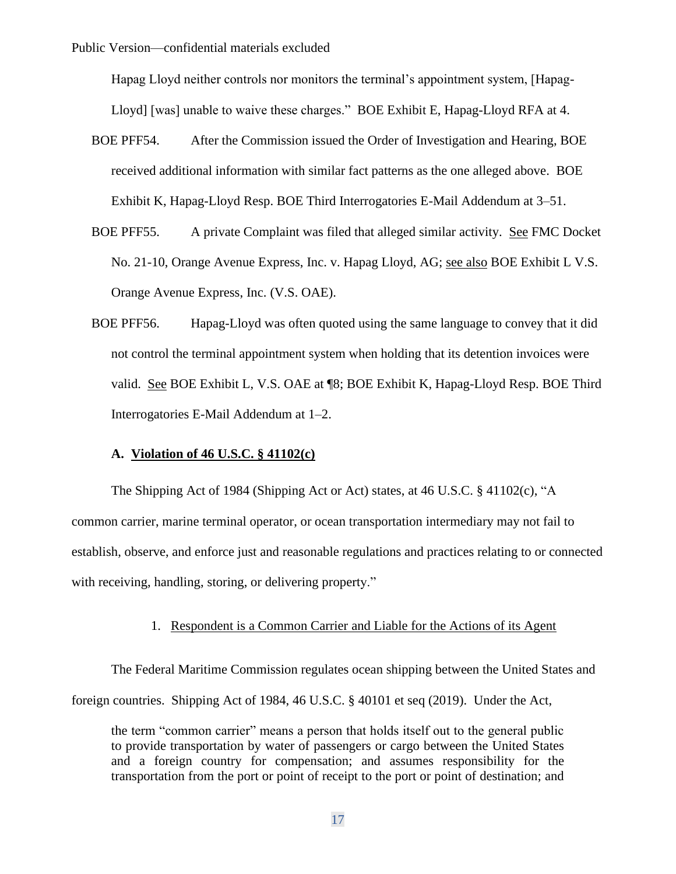Hapag Lloyd neither controls nor monitors the terminal's appointment system, [Hapag-Lloyd] [was] unable to waive these charges." BOE Exhibit E, Hapag-Lloyd RFA at 4.

- BOE PFF54. After the Commission issued the Order of Investigation and Hearing, BOE received additional information with similar fact patterns as the one alleged above. BOE Exhibit K, Hapag-Lloyd Resp. BOE Third Interrogatories E-Mail Addendum at 3–51.
- BOE PFF55. A private Complaint was filed that alleged similar activity. See FMC Docket No. 21-10, Orange Avenue Express, Inc. v. Hapag Lloyd, AG; see also BOE Exhibit L V.S. Orange Avenue Express, Inc. (V.S. OAE).
- BOE PFF56. Hapag-Lloyd was often quoted using the same language to convey that it did not control the terminal appointment system when holding that its detention invoices were valid. See BOE Exhibit L, V.S. OAE at ¶8; BOE Exhibit K, Hapag-Lloyd Resp. BOE Third Interrogatories E-Mail Addendum at 1–2.

### **A. Violation of 46 U.S.C. § 41102(c)**

The Shipping Act of 1984 (Shipping Act or Act) states, at 46 U.S.C. § 41102(c), "A common carrier, marine terminal operator, or ocean transportation intermediary may not fail to establish, observe, and enforce just and reasonable regulations and practices relating to or connected with receiving, handling, storing, or delivering property."

# 1. Respondent is a Common Carrier and Liable for the Actions of its Agent

The Federal Maritime Commission regulates ocean shipping between the United States and foreign countries. Shipping Act of 1984, 46 U.S.C. § 40101 et seq (2019). Under the Act,

the term "common carrier" means a person that holds itself out to the general public to provide transportation by water of passengers or cargo between the United States and a foreign country for compensation; and assumes responsibility for the transportation from the port or point of receipt to the port or point of destination; and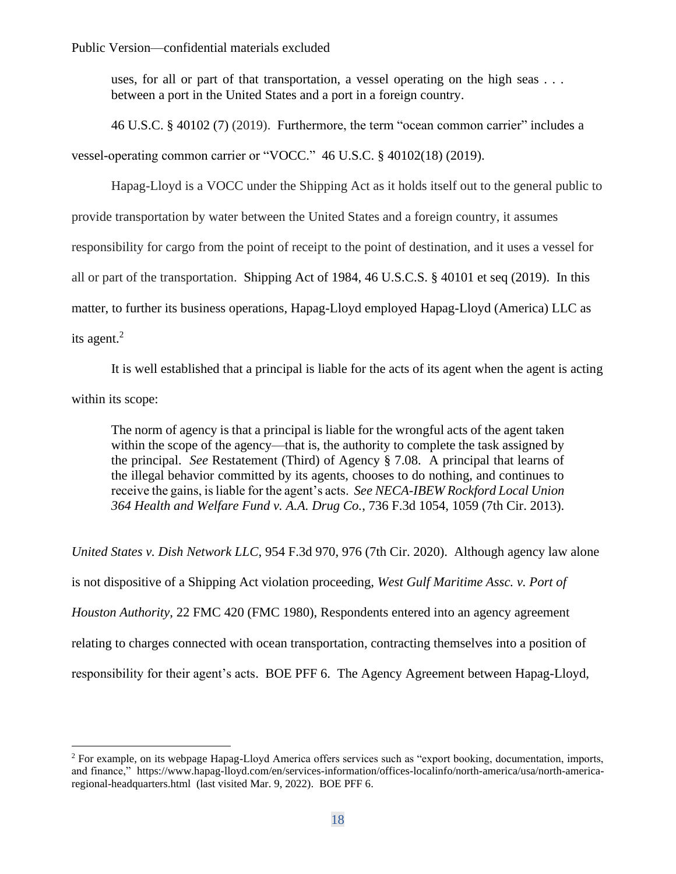uses, for all or part of that transportation, a vessel operating on the high seas ... between a port in the United States and a port in a foreign country.

46 U.S.C. § 40102 (7) (2019). Furthermore, the term "ocean common carrier" includes a vessel-operating common carrier or "VOCC." 46 U.S.C. § 40102(18) (2019).

Hapag-Lloyd is a VOCC under the Shipping Act as it holds itself out to the general public to provide transportation by water between the United States and a foreign country, it assumes responsibility for cargo from the point of receipt to the point of destination, and it uses a vessel for all or part of the transportation. Shipping Act of 1984, 46 U.S.C.S. § 40101 et seq (2019). In this matter, to further its business operations, Hapag-Lloyd employed Hapag-Lloyd (America) LLC as its agent. $<sup>2</sup>$ </sup>

It is well established that a principal is liable for the acts of its agent when the agent is acting within its scope:

The norm of agency is that a principal is liable for the wrongful acts of the agent taken within the scope of the agency—that is, the authority to complete the task assigned by the principal. *See* Restatement (Third) of Agency § 7.08. A principal that learns of the illegal behavior committed by its agents, chooses to do nothing, and continues to receive the gains, is liable for the agent's acts. *See NECA-IBEW Rockford Local Union 364 Health and Welfare Fund v. A.A. Drug Co.*, 736 F.3d 1054, 1059 (7th Cir. 2013).

*United States v. Dish Network LLC*, 954 F.3d 970, 976 (7th Cir. 2020). Although agency law alone is not dispositive of a Shipping Act violation proceeding, *West Gulf Maritime Assc. v. Port of Houston Authority*, 22 FMC 420 (FMC 1980), Respondents entered into an agency agreement relating to charges connected with ocean transportation, contracting themselves into a position of responsibility for their agent's acts. BOE PFF 6. The Agency Agreement between Hapag-Lloyd,

<sup>&</sup>lt;sup>2</sup> For example, on its webpage Hapag-Lloyd America offers services such as "export booking, documentation, imports, and finance," https://www.hapag-lloyd.com/en/services-information/offices-localinfo/north-america/usa/north-americaregional-headquarters.html (last visited Mar. 9, 2022). BOE PFF 6.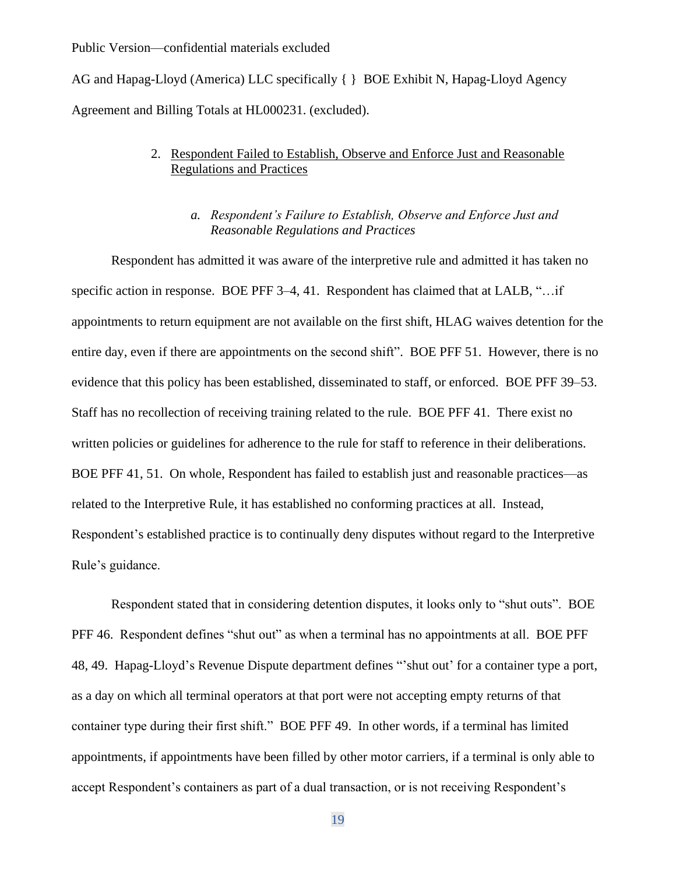AG and Hapag-Lloyd (America) LLC specifically { } BOE Exhibit N, Hapag-Lloyd Agency Agreement and Billing Totals at HL000231. (excluded).

# 2. Respondent Failed to Establish, Observe and Enforce Just and Reasonable Regulations and Practices

# *a. Respondent's Failure to Establish, Observe and Enforce Just and Reasonable Regulations and Practices*

Respondent has admitted it was aware of the interpretive rule and admitted it has taken no specific action in response. BOE PFF 3-4, 41. Respondent has claimed that at LALB, "... if appointments to return equipment are not available on the first shift, HLAG waives detention for the entire day, even if there are appointments on the second shift". BOE PFF 51. However, there is no evidence that this policy has been established, disseminated to staff, or enforced. BOE PFF 39–53. Staff has no recollection of receiving training related to the rule. BOE PFF 41. There exist no written policies or guidelines for adherence to the rule for staff to reference in their deliberations. BOE PFF 41, 51. On whole, Respondent has failed to establish just and reasonable practices—as related to the Interpretive Rule, it has established no conforming practices at all. Instead, Respondent's established practice is to continually deny disputes without regard to the Interpretive Rule's guidance.

Respondent stated that in considering detention disputes, it looks only to "shut outs". BOE PFF 46. Respondent defines "shut out" as when a terminal has no appointments at all. BOE PFF 48, 49. Hapag-Lloyd's Revenue Dispute department defines "'shut out' for a container type a port, as a day on which all terminal operators at that port were not accepting empty returns of that container type during their first shift." BOE PFF 49. In other words, if a terminal has limited appointments, if appointments have been filled by other motor carriers, if a terminal is only able to accept Respondent's containers as part of a dual transaction, or is not receiving Respondent's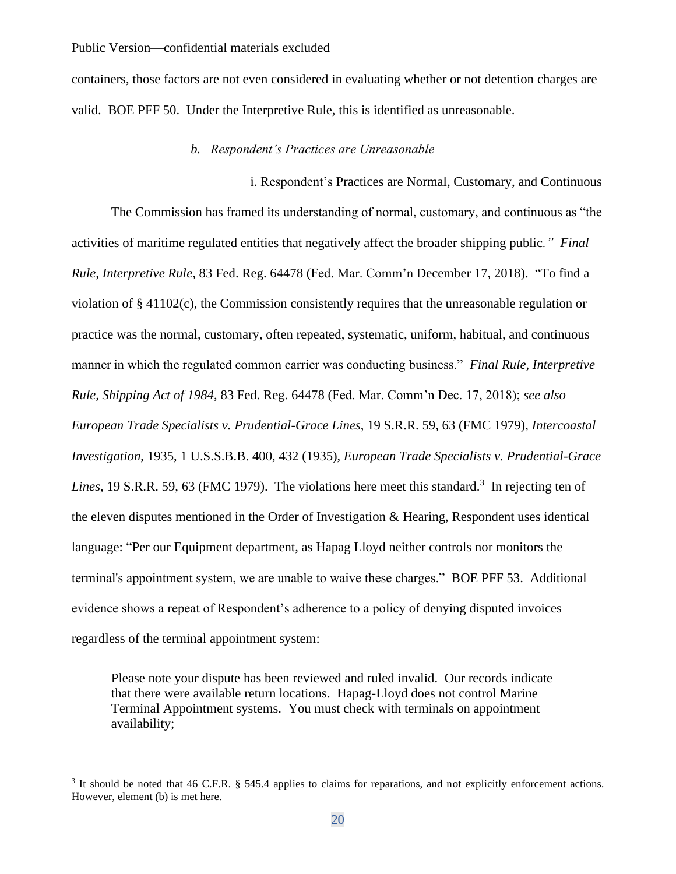containers, those factors are not even considered in evaluating whether or not detention charges are valid. BOE PFF 50. Under the Interpretive Rule, this is identified as unreasonable.

### *b. Respondent's Practices are Unreasonable*

i. Respondent's Practices are Normal, Customary, and Continuous The Commission has framed its understanding of normal, customary, and continuous as "the activities of maritime regulated entities that negatively affect the broader shipping public*." Final Rule, Interpretive Rule*, 83 Fed. Reg. 64478 (Fed. Mar. Comm'n December 17, 2018). "To find a violation of § 41102(c), the Commission consistently requires that the unreasonable regulation or practice was the normal, customary, often repeated, systematic, uniform, habitual, and continuous manner in which the regulated common carrier was conducting business." *Final Rule, Interpretive Rule, Shipping Act of 1984*, 83 Fed. Reg. 64478 (Fed. Mar. Comm'n Dec. 17, 2018); *see also European Trade Specialists v. Prudential-Grace Lines*, 19 S.R.R. 59, 63 (FMC 1979), *Intercoastal Investigation*, 1935, 1 U.S.S.B.B. 400, 432 (1935), *European Trade Specialists v. Prudential-Grace*  Lines, 19 S.R.R. 59, 63 (FMC 1979). The violations here meet this standard.<sup>3</sup> In rejecting ten of the eleven disputes mentioned in the Order of Investigation & Hearing, Respondent uses identical language: "Per our Equipment department, as Hapag Lloyd neither controls nor monitors the terminal's appointment system, we are unable to waive these charges." BOE PFF 53. Additional evidence shows a repeat of Respondent's adherence to a policy of denying disputed invoices regardless of the terminal appointment system:

Please note your dispute has been reviewed and ruled invalid. Our records indicate that there were available return locations. Hapag-Lloyd does not control Marine Terminal Appointment systems. You must check with terminals on appointment availability;

<sup>&</sup>lt;sup>3</sup> It should be noted that 46 C.F.R. § 545.4 applies to claims for reparations, and not explicitly enforcement actions. However, element (b) is met here.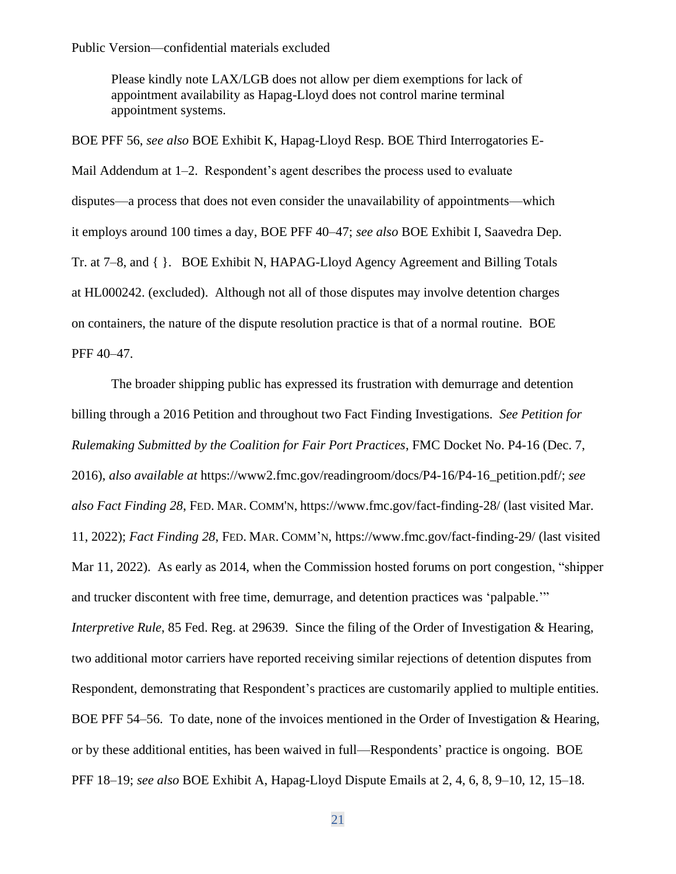Please kindly note LAX/LGB does not allow per diem exemptions for lack of appointment availability as Hapag-Lloyd does not control marine terminal appointment systems.

BOE PFF 56, *see also* BOE Exhibit K, Hapag-Lloyd Resp. BOE Third Interrogatories E-Mail Addendum at 1–2. Respondent's agent describes the process used to evaluate disputes—a process that does not even consider the unavailability of appointments—which it employs around 100 times a day, BOE PFF 40–47; *see also* BOE Exhibit I, Saavedra Dep. Tr. at 7–8, and { }. BOE Exhibit N, HAPAG-Lloyd Agency Agreement and Billing Totals at HL000242. (excluded). Although not all of those disputes may involve detention charges on containers, the nature of the dispute resolution practice is that of a normal routine. BOE PFF 40–47.

The broader shipping public has expressed its frustration with demurrage and detention billing through a 2016 Petition and throughout two Fact Finding Investigations. *See Petition for Rulemaking Submitted by the Coalition for Fair Port Practices*, FMC Docket No. P4-16 (Dec. 7, 2016), *also available at* https://www2.fmc.gov/readingroom/docs/P4-16/P4-16\_petition.pdf/; *see also Fact Finding 28*, FED. MAR. COMM'N, https://www.fmc.gov/fact-finding-28/ (last visited Mar. 11, 2022); *Fact Finding 28*, FED. MAR. COMM'N, https://www.fmc.gov/fact-finding-29/ (last visited Mar 11, 2022). As early as 2014, when the Commission hosted forums on port congestion, "shipper and trucker discontent with free time, demurrage, and detention practices was 'palpable.'" *Interpretive Rule*, 85 Fed. Reg. at 29639. Since the filing of the Order of Investigation & Hearing, two additional motor carriers have reported receiving similar rejections of detention disputes from Respondent, demonstrating that Respondent's practices are customarily applied to multiple entities. BOE PFF 54–56. To date, none of the invoices mentioned in the Order of Investigation & Hearing, or by these additional entities, has been waived in full—Respondents' practice is ongoing. BOE PFF 18–19; *see also* BOE Exhibit A, Hapag-Lloyd Dispute Emails at 2, 4, 6, 8, 9–10, 12, 15–18.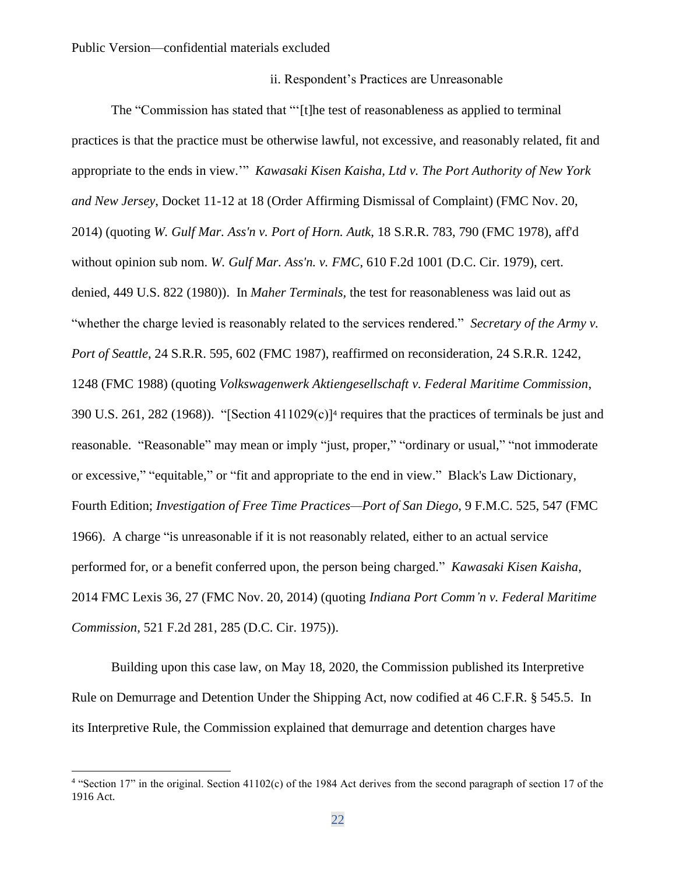## ii. Respondent's Practices are Unreasonable

The "Commission has stated that "'[t]he test of reasonableness as applied to terminal practices is that the practice must be otherwise lawful, not excessive, and reasonably related, fit and appropriate to the ends in view.'" *Kawasaki Kisen Kaisha, Ltd v. The Port Authority of New York and New Jersey*, Docket 11-12 at 18 (Order Affirming Dismissal of Complaint) (FMC Nov. 20, 2014) (quoting *W. Gulf Mar. Ass'n v. Port of Horn. Autk*, 18 S.R.R. 783, 790 (FMC 1978), aff'd without opinion sub nom. *W. Gulf Mar. Ass'n. v. FMC*, 610 F.2d 1001 (D.C. Cir. 1979), cert. denied, 449 U.S. 822 (1980)). In *Maher Terminals,* the test for reasonableness was laid out as "whether the charge levied is reasonably related to the services rendered." *Secretary of the Army v. Port of Seattle*, 24 S.R.R. 595, 602 (FMC 1987), reaffirmed on reconsideration, 24 S.R.R. 1242, 1248 (FMC 1988) (quoting *Volkswagenwerk Aktiengesellschaft v. Federal Maritime Commission*, 390 U.S. 261, 282 (1968)). "[Section 411029(c)]<sup>4</sup> requires that the practices of terminals be just and reasonable. "Reasonable" may mean or imply "just, proper," "ordinary or usual," "not immoderate or excessive," "equitable," or "fit and appropriate to the end in view." Black's Law Dictionary, Fourth Edition; *Investigation of Free Time Practices—Port of San Diego*, 9 F.M.C. 525, 547 (FMC 1966). A charge "is unreasonable if it is not reasonably related, either to an actual service performed for, or a benefit conferred upon, the person being charged." *Kawasaki Kisen Kaisha*, 2014 FMC Lexis 36, 27 (FMC Nov. 20, 2014) (quoting *Indiana Port Comm'n v. Federal Maritime Commission*, 521 F.2d 281, 285 (D.C. Cir. 1975)).

Building upon this case law, on May 18, 2020, the Commission published its Interpretive Rule on Demurrage and Detention Under the Shipping Act, now codified at 46 C.F.R. § 545.5. In its Interpretive Rule, the Commission explained that demurrage and detention charges have

<sup>&</sup>lt;sup>4</sup> "Section 17" in the original. Section 41102(c) of the 1984 Act derives from the second paragraph of section 17 of the 1916 Act.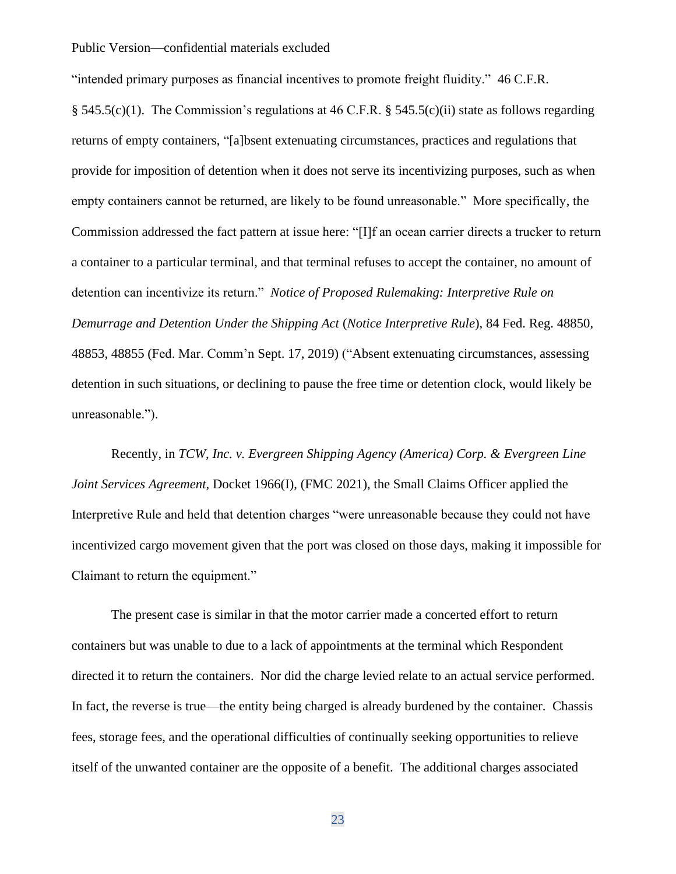"intended primary purposes as financial incentives to promote freight fluidity." 46 C.F.R.

§ 545.5(c)(1). The Commission's regulations at 46 C.F.R. § 545.5(c)(ii) state as follows regarding returns of empty containers, "[a]bsent extenuating circumstances, practices and regulations that provide for imposition of detention when it does not serve its incentivizing purposes, such as when empty containers cannot be returned, are likely to be found unreasonable." More specifically, the Commission addressed the fact pattern at issue here: "[I]f an ocean carrier directs a trucker to return a container to a particular terminal, and that terminal refuses to accept the container, no amount of detention can incentivize its return." *Notice of Proposed Rulemaking: Interpretive Rule on Demurrage and Detention Under the Shipping Act* (*Notice Interpretive Rule*), 84 Fed. Reg. 48850, 48853, 48855 (Fed. Mar. Comm'n Sept. 17, 2019) ("Absent extenuating circumstances, assessing detention in such situations, or declining to pause the free time or detention clock, would likely be unreasonable.").

Recently, in *TCW, Inc. v. Evergreen Shipping Agency (America) Corp. & Evergreen Line Joint Services Agreement*, Docket 1966(I), (FMC 2021), the Small Claims Officer applied the Interpretive Rule and held that detention charges "were unreasonable because they could not have incentivized cargo movement given that the port was closed on those days, making it impossible for Claimant to return the equipment."

The present case is similar in that the motor carrier made a concerted effort to return containers but was unable to due to a lack of appointments at the terminal which Respondent directed it to return the containers. Nor did the charge levied relate to an actual service performed. In fact, the reverse is true—the entity being charged is already burdened by the container. Chassis fees, storage fees, and the operational difficulties of continually seeking opportunities to relieve itself of the unwanted container are the opposite of a benefit. The additional charges associated

23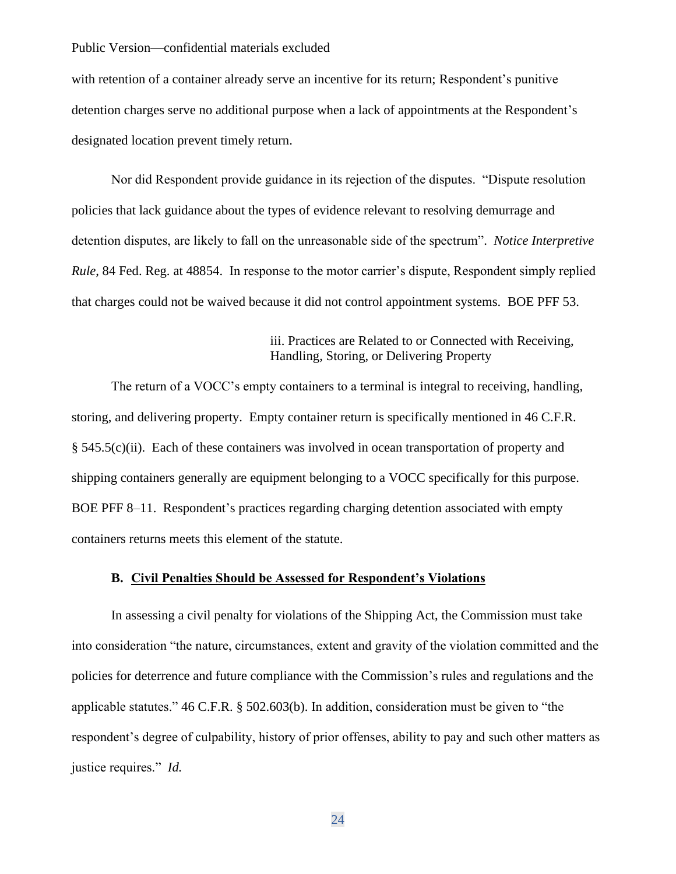with retention of a container already serve an incentive for its return; Respondent's punitive detention charges serve no additional purpose when a lack of appointments at the Respondent's designated location prevent timely return.

Nor did Respondent provide guidance in its rejection of the disputes. "Dispute resolution policies that lack guidance about the types of evidence relevant to resolving demurrage and detention disputes, are likely to fall on the unreasonable side of the spectrum". *Notice Interpretive Rule*, 84 Fed. Reg. at 48854. In response to the motor carrier's dispute, Respondent simply replied that charges could not be waived because it did not control appointment systems. BOE PFF 53.

# iii. Practices are Related to or Connected with Receiving, Handling, Storing, or Delivering Property

The return of a VOCC's empty containers to a terminal is integral to receiving, handling, storing, and delivering property. Empty container return is specifically mentioned in 46 C.F.R. § 545.5(c)(ii). Each of these containers was involved in ocean transportation of property and shipping containers generally are equipment belonging to a VOCC specifically for this purpose. BOE PFF 8–11. Respondent's practices regarding charging detention associated with empty containers returns meets this element of the statute.

# **B. Civil Penalties Should be Assessed for Respondent's Violations**

In assessing a civil penalty for violations of the Shipping Act, the Commission must take into consideration "the nature, circumstances, extent and gravity of the violation committed and the policies for deterrence and future compliance with the Commission's rules and regulations and the applicable statutes." 46 C.F.R. § 502.603(b). In addition, consideration must be given to "the respondent's degree of culpability, history of prior offenses, ability to pay and such other matters as justice requires." *Id.*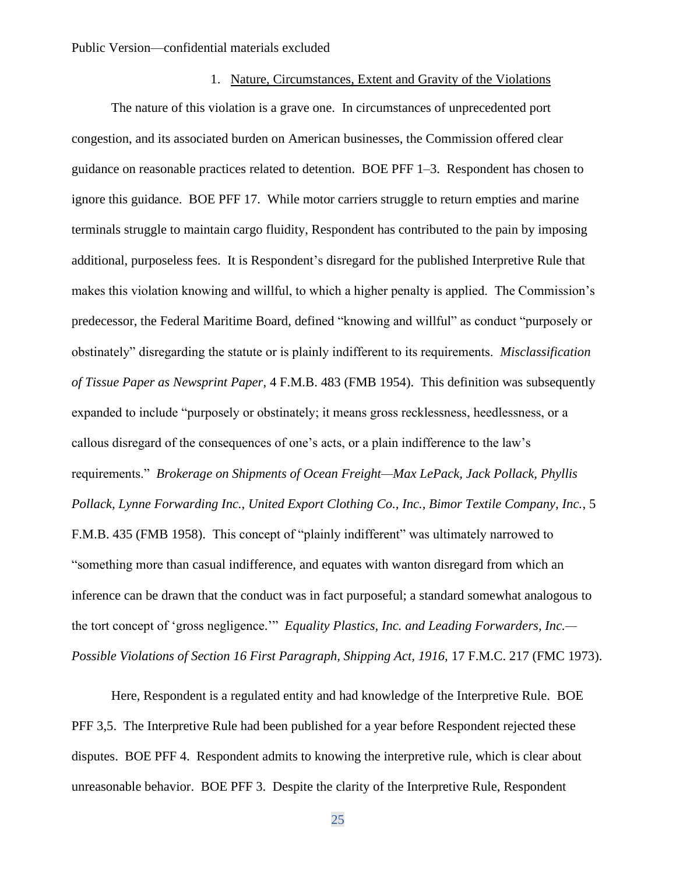# 1. Nature, Circumstances, Extent and Gravity of the Violations

The nature of this violation is a grave one. In circumstances of unprecedented port congestion, and its associated burden on American businesses, the Commission offered clear guidance on reasonable practices related to detention. BOE PFF 1–3. Respondent has chosen to ignore this guidance. BOE PFF 17. While motor carriers struggle to return empties and marine terminals struggle to maintain cargo fluidity, Respondent has contributed to the pain by imposing additional, purposeless fees. It is Respondent's disregard for the published Interpretive Rule that makes this violation knowing and willful, to which a higher penalty is applied. The Commission's predecessor, the Federal Maritime Board, defined "knowing and willful" as conduct "purposely or obstinately" disregarding the statute or is plainly indifferent to its requirements. *Misclassification of Tissue Paper as Newsprint Paper*, 4 F.M.B. 483 (FMB 1954). This definition was subsequently expanded to include "purposely or obstinately; it means gross recklessness, heedlessness, or a callous disregard of the consequences of one's acts, or a plain indifference to the law's requirements." *Brokerage on Shipments of Ocean Freight—Max LePack, Jack Pollack, Phyllis Pollack, Lynne Forwarding Inc., United Export Clothing Co., Inc., Bimor Textile Company, Inc.*, 5 F.M.B. 435 (FMB 1958). This concept of "plainly indifferent" was ultimately narrowed to "something more than casual indifference, and equates with wanton disregard from which an inference can be drawn that the conduct was in fact purposeful; a standard somewhat analogous to the tort concept of 'gross negligence.'" *Equality Plastics, Inc. and Leading Forwarders, Inc.— Possible Violations of Section 16 First Paragraph, Shipping Act, 1916,* 17 F.M.C. 217 (FMC 1973).

Here, Respondent is a regulated entity and had knowledge of the Interpretive Rule. BOE PFF 3,5. The Interpretive Rule had been published for a year before Respondent rejected these disputes. BOE PFF 4. Respondent admits to knowing the interpretive rule, which is clear about unreasonable behavior. BOE PFF 3. Despite the clarity of the Interpretive Rule, Respondent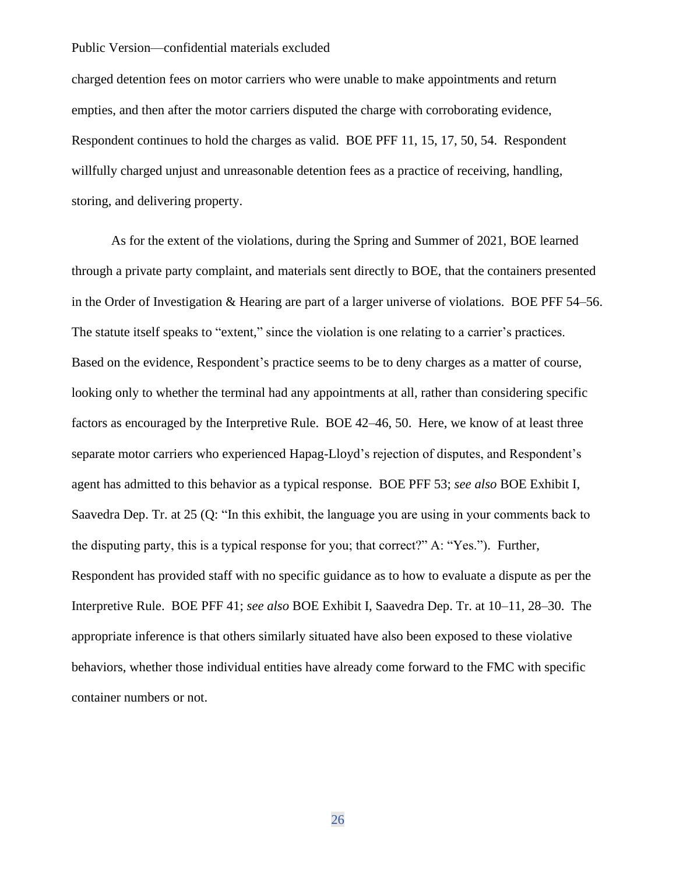charged detention fees on motor carriers who were unable to make appointments and return empties, and then after the motor carriers disputed the charge with corroborating evidence, Respondent continues to hold the charges as valid. BOE PFF 11, 15, 17, 50, 54. Respondent willfully charged unjust and unreasonable detention fees as a practice of receiving, handling, storing, and delivering property.

As for the extent of the violations, during the Spring and Summer of 2021, BOE learned through a private party complaint, and materials sent directly to BOE, that the containers presented in the Order of Investigation & Hearing are part of a larger universe of violations. BOE PFF 54–56. The statute itself speaks to "extent," since the violation is one relating to a carrier's practices. Based on the evidence, Respondent's practice seems to be to deny charges as a matter of course, looking only to whether the terminal had any appointments at all, rather than considering specific factors as encouraged by the Interpretive Rule. BOE 42–46, 50. Here, we know of at least three separate motor carriers who experienced Hapag-Lloyd's rejection of disputes, and Respondent's agent has admitted to this behavior as a typical response. BOE PFF 53; *see also* BOE Exhibit I, Saavedra Dep. Tr. at 25 (Q: "In this exhibit, the language you are using in your comments back to the disputing party, this is a typical response for you; that correct?" A: "Yes."). Further, Respondent has provided staff with no specific guidance as to how to evaluate a dispute as per the Interpretive Rule. BOE PFF 41; *see also* BOE Exhibit I, Saavedra Dep. Tr. at 10–11, 28–30. The appropriate inference is that others similarly situated have also been exposed to these violative behaviors, whether those individual entities have already come forward to the FMC with specific container numbers or not.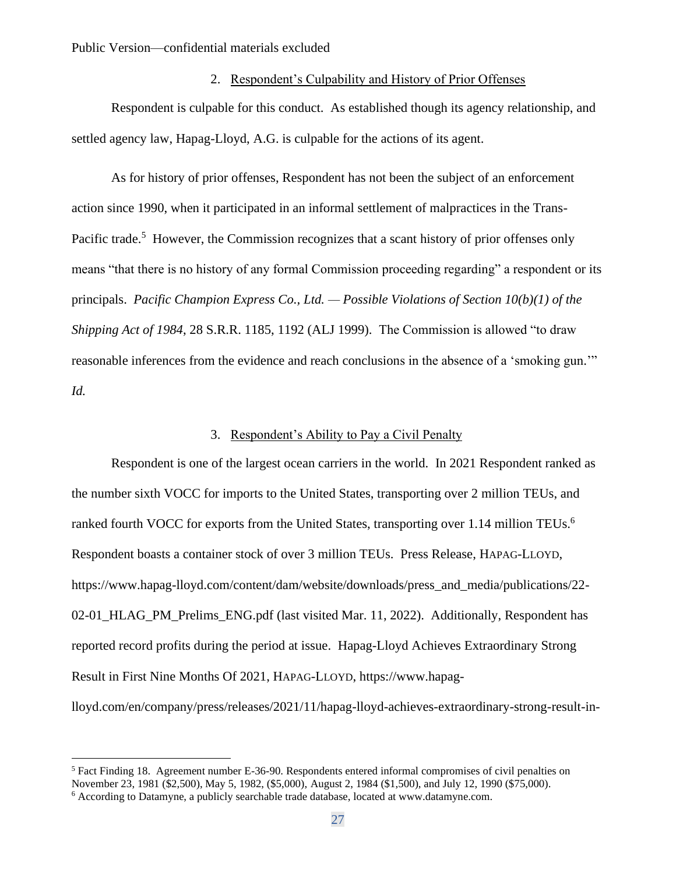## 2. Respondent's Culpability and History of Prior Offenses

Respondent is culpable for this conduct. As established though its agency relationship, and settled agency law, Hapag-Lloyd, A.G. is culpable for the actions of its agent.

As for history of prior offenses, Respondent has not been the subject of an enforcement action since 1990, when it participated in an informal settlement of malpractices in the Trans-Pacific trade.<sup>5</sup> However, the Commission recognizes that a scant history of prior offenses only means "that there is no history of any formal Commission proceeding regarding" a respondent or its principals. *Pacific Champion Express Co., Ltd. — Possible Violations of Section 10(b)(1) of the Shipping Act of 1984*, 28 S.R.R. 1185, 1192 (ALJ 1999). The Commission is allowed "to draw reasonable inferences from the evidence and reach conclusions in the absence of a 'smoking gun.'" *Id.*

### 3. Respondent's Ability to Pay a Civil Penalty

Respondent is one of the largest ocean carriers in the world. In 2021 Respondent ranked as the number sixth VOCC for imports to the United States, transporting over 2 million TEUs, and ranked fourth VOCC for exports from the United States, transporting over 1.14 million TEUs.<sup>6</sup> Respondent boasts a container stock of over 3 million TEUs. Press Release, HAPAG-LLOYD, https://www.hapag-lloyd.com/content/dam/website/downloads/press\_and\_media/publications/22- 02-01\_HLAG\_PM\_Prelims\_ENG.pdf (last visited Mar. 11, 2022). Additionally, Respondent has reported record profits during the period at issue. Hapag-Lloyd Achieves Extraordinary Strong Result in First Nine Months Of 2021, HAPAG-LLOYD, https://www.hapaglloyd.com/en/company/press/releases/2021/11/hapag-lloyd-achieves-extraordinary-strong-result-in-

<sup>&</sup>lt;sup>5</sup> Fact Finding 18. Agreement number E-36-90. Respondents entered informal compromises of civil penalties on November 23, 1981 (\$2,500), May 5, 1982, (\$5,000), August 2, 1984 (\$1,500), and July 12, 1990 (\$75,000).

<sup>6</sup> According to Datamyne, a publicly searchable trade database, located at www.datamyne.com.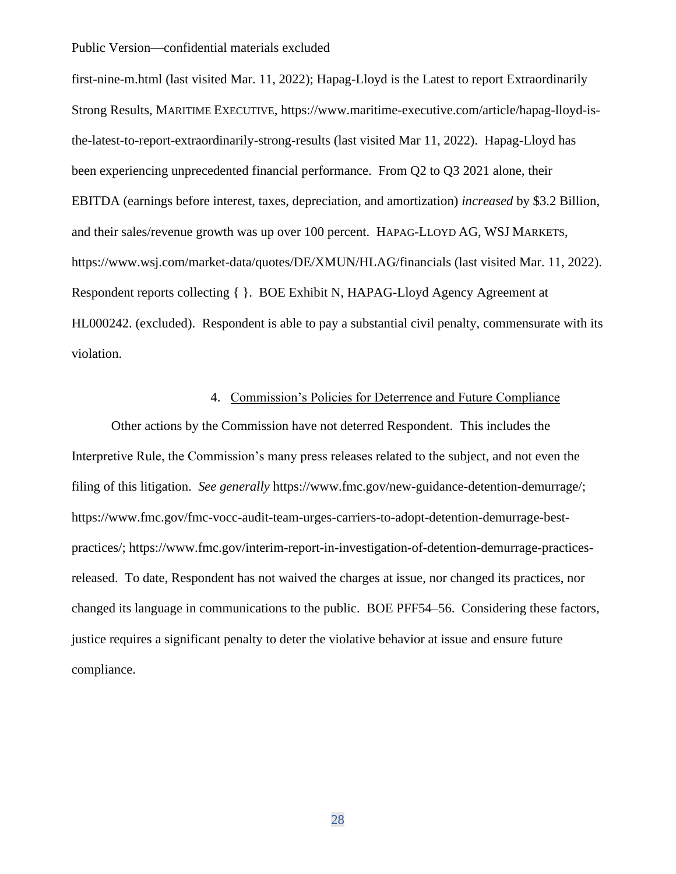first-nine-m.html (last visited Mar. 11, 2022); Hapag-Lloyd is the Latest to report Extraordinarily Strong Results, MARITIME EXECUTIVE, https://www.maritime-executive.com/article/hapag-lloyd-isthe-latest-to-report-extraordinarily-strong-results (last visited Mar 11, 2022). Hapag-Lloyd has been experiencing unprecedented financial performance. From Q2 to Q3 2021 alone, their EBITDA (earnings before interest, taxes, depreciation, and amortization) *increased* by \$3.2 Billion, and their sales/revenue growth was up over 100 percent. HAPAG-LLOYD AG, WSJ MARKETS, https://www.wsj.com/market-data/quotes/DE/XMUN/HLAG/financials (last visited Mar. 11, 2022). Respondent reports collecting { }. BOE Exhibit N, HAPAG-Lloyd Agency Agreement at HL000242. (excluded). Respondent is able to pay a substantial civil penalty, commensurate with its violation.

## 4. Commission's Policies for Deterrence and Future Compliance

Other actions by the Commission have not deterred Respondent. This includes the Interpretive Rule, the Commission's many press releases related to the subject, and not even the filing of this litigation. *See generally* https://www.fmc.gov/new-guidance-detention-demurrage/; https://www.fmc.gov/fmc-vocc-audit-team-urges-carriers-to-adopt-detention-demurrage-bestpractices/; https://www.fmc.gov/interim-report-in-investigation-of-detention-demurrage-practicesreleased. To date, Respondent has not waived the charges at issue, nor changed its practices, nor changed its language in communications to the public. BOE PFF54–56. Considering these factors, justice requires a significant penalty to deter the violative behavior at issue and ensure future compliance.

28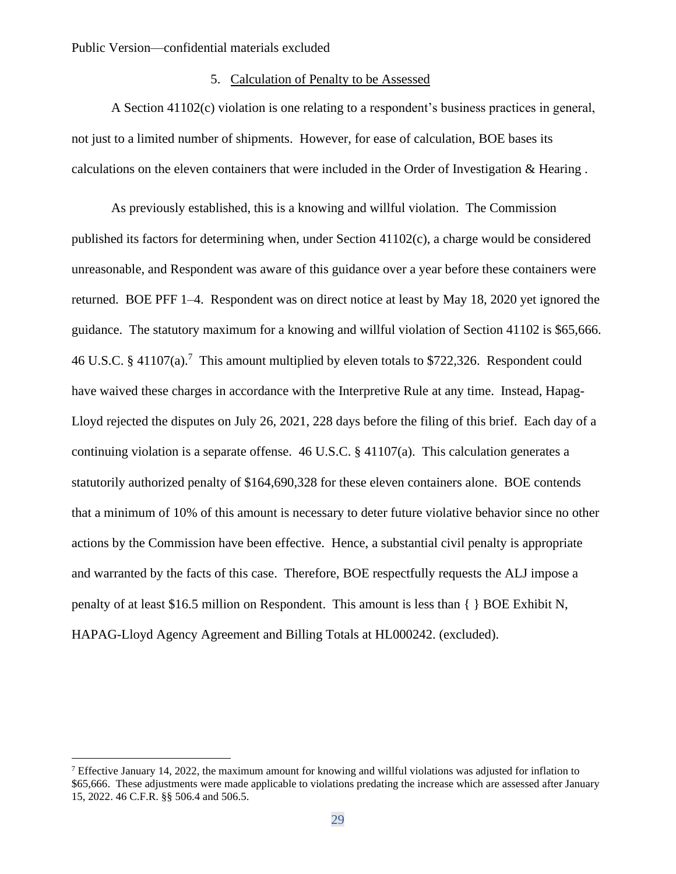## 5. Calculation of Penalty to be Assessed

A Section 41102(c) violation is one relating to a respondent's business practices in general, not just to a limited number of shipments. However, for ease of calculation, BOE bases its calculations on the eleven containers that were included in the Order of Investigation & Hearing .

As previously established, this is a knowing and willful violation. The Commission published its factors for determining when, under Section 41102(c), a charge would be considered unreasonable, and Respondent was aware of this guidance over a year before these containers were returned. BOE PFF 1–4. Respondent was on direct notice at least by May 18, 2020 yet ignored the guidance. The statutory maximum for a knowing and willful violation of Section 41102 is \$65,666. 46 U.S.C. § 41107(a).<sup>7</sup> This amount multiplied by eleven totals to \$722,326. Respondent could have waived these charges in accordance with the Interpretive Rule at any time. Instead, Hapag-Lloyd rejected the disputes on July 26, 2021, 228 days before the filing of this brief. Each day of a continuing violation is a separate offense. 46 U.S.C. § 41107(a). This calculation generates a statutorily authorized penalty of \$164,690,328 for these eleven containers alone. BOE contends that a minimum of 10% of this amount is necessary to deter future violative behavior since no other actions by the Commission have been effective. Hence, a substantial civil penalty is appropriate and warranted by the facts of this case. Therefore, BOE respectfully requests the ALJ impose a penalty of at least \$16.5 million on Respondent. This amount is less than { } BOE Exhibit N, HAPAG-Lloyd Agency Agreement and Billing Totals at HL000242. (excluded).

<sup>&</sup>lt;sup>7</sup> Effective January 14, 2022, the maximum amount for knowing and willful violations was adjusted for inflation to \$65,666. These adjustments were made applicable to violations predating the increase which are assessed after January 15, 2022. 46 C.F.R. §§ 506.4 and 506.5.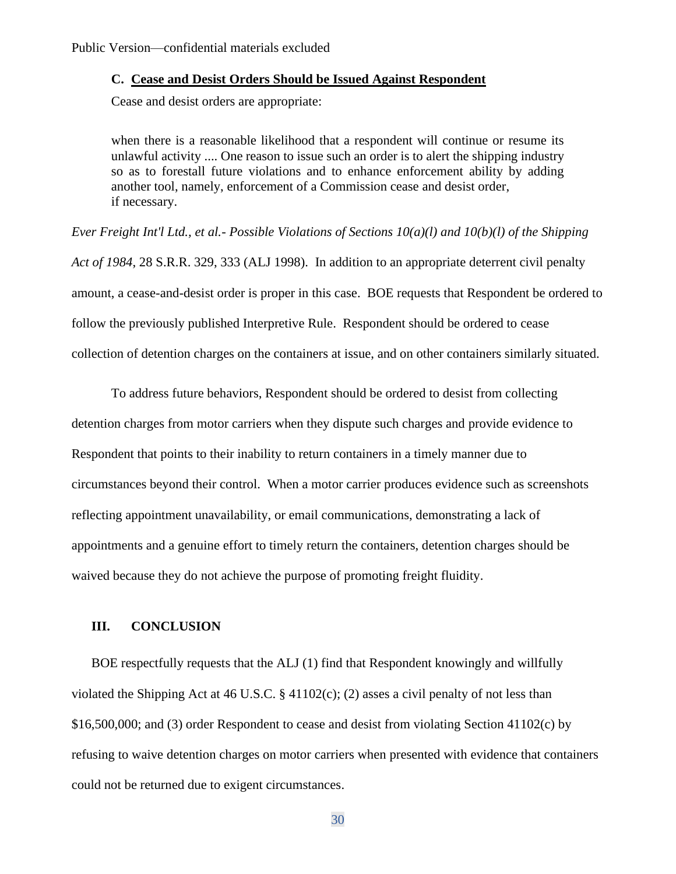### **C. Cease and Desist Orders Should be Issued Against Respondent**

Cease and desist orders are appropriate:

when there is a reasonable likelihood that a respondent will continue or resume its unlawful activity .... One reason to issue such an order is to alert the shipping industry so as to forestall future violations and to enhance enforcement ability by adding another tool, namely, enforcement of a Commission cease and desist order, if necessary.

*Ever Freight Int'l Ltd., et al.- Possible Violations of Sections 10(a)(l) and 10(b)(l) of the Shipping Act of 1984*, 28 S.R.R. 329, 333 (ALJ 1998). In addition to an appropriate deterrent civil penalty amount, a cease-and-desist order is proper in this case. BOE requests that Respondent be ordered to follow the previously published Interpretive Rule. Respondent should be ordered to cease collection of detention charges on the containers at issue, and on other containers similarly situated.

To address future behaviors, Respondent should be ordered to desist from collecting detention charges from motor carriers when they dispute such charges and provide evidence to Respondent that points to their inability to return containers in a timely manner due to circumstances beyond their control. When a motor carrier produces evidence such as screenshots reflecting appointment unavailability, or email communications, demonstrating a lack of appointments and a genuine effort to timely return the containers, detention charges should be waived because they do not achieve the purpose of promoting freight fluidity.

### **III. CONCLUSION**

BOE respectfully requests that the ALJ (1) find that Respondent knowingly and willfully violated the Shipping Act at 46 U.S.C.  $\S$  41102(c); (2) asses a civil penalty of not less than \$16,500,000; and (3) order Respondent to cease and desist from violating Section 41102(c) by refusing to waive detention charges on motor carriers when presented with evidence that containers could not be returned due to exigent circumstances.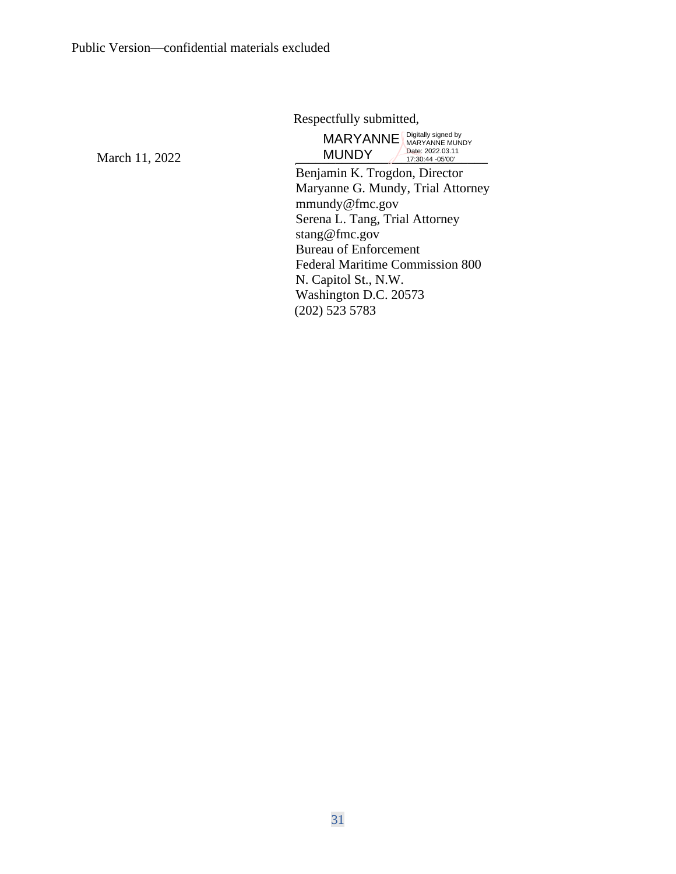Respectfully submitted,

March 11, 2022

Benjamin K. Trogdon, Director Maryanne G. Mundy, Trial Attorney MARYANNE Bigitally signed by **MUNDY** Date: 2022.03.11 17:30:44 -05'00'

mmundy@fmc.gov Serena L. Tang, Trial Attorney stang@fmc.gov Bureau of Enforcement Federal Maritime Commission 800 N. Capitol St., N.W. Washington D.C. 20573 (202) 523 5783